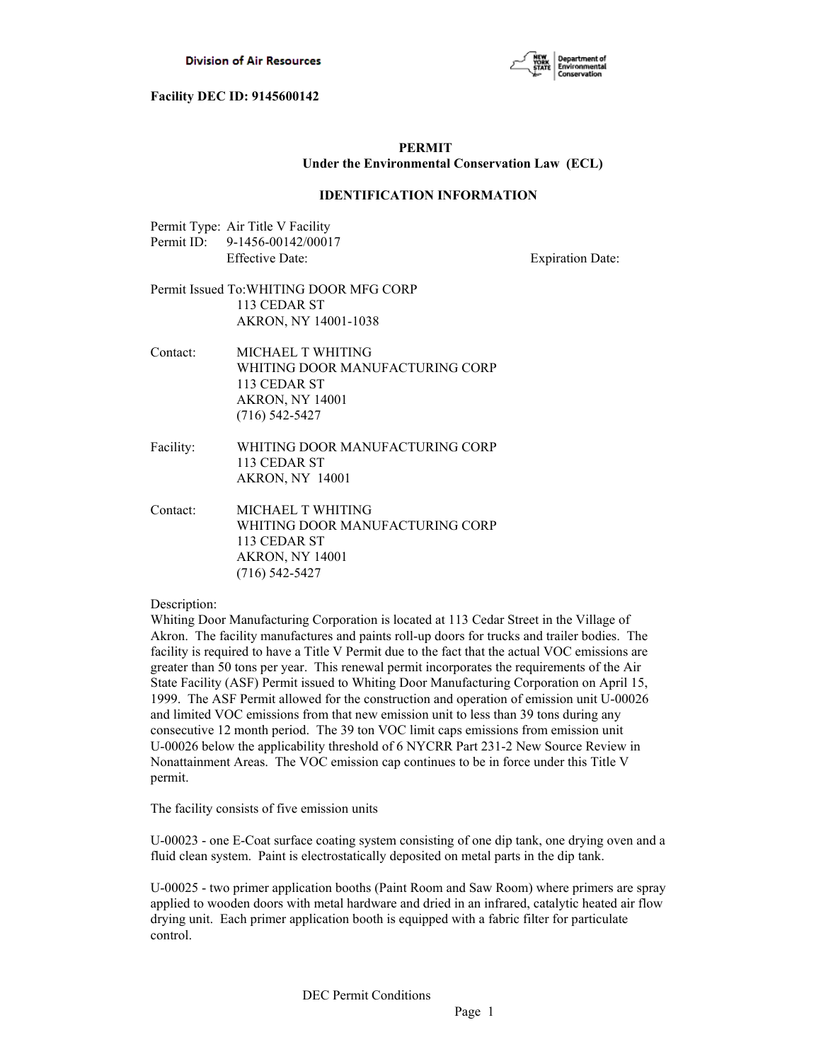

# **PERMIT Under the Environmental Conservation Law (ECL)**

### **IDENTIFICATION INFORMATION**

| Permit Type: Air Title V Facility |
|-----------------------------------|
| Permit ID: 9-1456-00142/00017     |
| <b>Effective Date:</b>            |

**Expiration Date:** 

# Permit Issued To:WHITING DOOR MFG CORP 113 CEDAR ST AKRON, NY 14001-1038

- Contact: MICHAEL T WHITING WHITING DOOR MANUFACTURING CORP 113 CEDAR ST AKRON, NY 14001 (716) 542-5427
- Facility: WHITING DOOR MANUFACTURING CORP 113 CEDAR ST AKRON, NY 14001
- Contact: MICHAEL T WHITING WHITING DOOR MANUFACTURING CORP 113 CEDAR ST AKRON, NY 14001 (716) 542-5427

#### Description:

Whiting Door Manufacturing Corporation is located at 113 Cedar Street in the Village of Akron. The facility manufactures and paints roll-up doors for trucks and trailer bodies. The facility is required to have a Title V Permit due to the fact that the actual VOC emissions are greater than 50 tons per year. This renewal permit incorporates the requirements of the Air State Facility (ASF) Permit issued to Whiting Door Manufacturing Corporation on April 15, 1999. The ASF Permit allowed for the construction and operation of emission unit U-00026 and limited VOC emissions from that new emission unit to less than 39 tons during any consecutive 12 month period. The 39 ton VOC limit caps emissions from emission unit U-00026 below the applicability threshold of 6 NYCRR Part 231-2 New Source Review in Nonattainment Areas. The VOC emission cap continues to be in force under this Title V permit.

The facility consists of five emission units

U-00023 - one E-Coat surface coating system consisting of one dip tank, one drying oven and a fluid clean system. Paint is electrostatically deposited on metal parts in the dip tank.

U-00025 - two primer application booths (Paint Room and Saw Room) where primers are spray applied to wooden doors with metal hardware and dried in an infrared, catalytic heated air flow drying unit. Each primer application booth is equipped with a fabric filter for particulate control.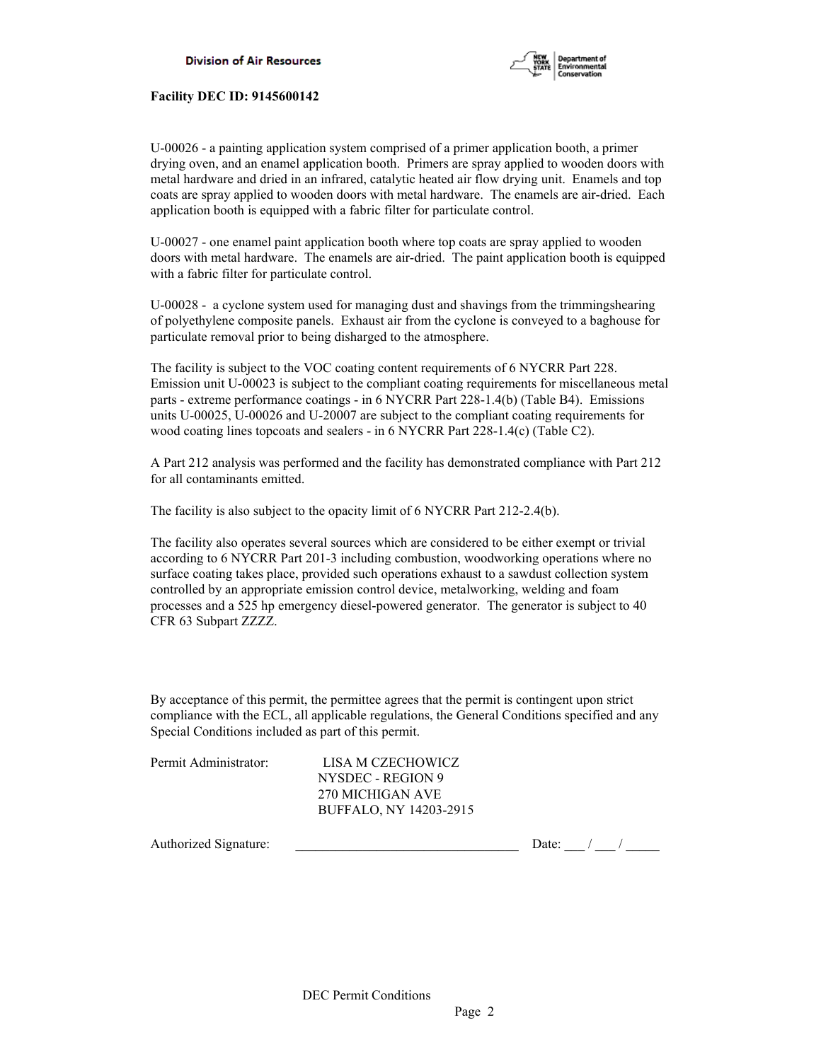

U-00026 - a painting application system comprised of a primer application booth, a primer drying oven, and an enamel application booth. Primers are spray applied to wooden doors with metal hardware and dried in an infrared, catalytic heated air flow drying unit. Enamels and top coats are spray applied to wooden doors with metal hardware. The enamels are air-dried. Each application booth is equipped with a fabric filter for particulate control.

U-00027 - one enamel paint application booth where top coats are spray applied to wooden doors with metal hardware. The enamels are air-dried. The paint application booth is equipped with a fabric filter for particulate control.

U-00028 - a cyclone system used for managing dust and shavings from the trimmingshearing of polyethylene composite panels. Exhaust air from the cyclone is conveyed to a baghouse for particulate removal prior to being disharged to the atmosphere.

The facility is subject to the VOC coating content requirements of 6 NYCRR Part 228. Emission unit U-00023 is subject to the compliant coating requirements for miscellaneous metal parts - extreme performance coatings - in 6 NYCRR Part 228-1.4(b) (Table B4). Emissions units U-00025, U-00026 and U-20007 are subject to the compliant coating requirements for wood coating lines topcoats and sealers - in 6 NYCRR Part 228-1.4(c) (Table C2).

A Part 212 analysis was performed and the facility has demonstrated compliance with Part 212 for all contaminants emitted.

The facility is also subject to the opacity limit of 6 NYCRR Part 212-2.4(b).

The facility also operates several sources which are considered to be either exempt or trivial according to 6 NYCRR Part 201-3 including combustion, woodworking operations where no surface coating takes place, provided such operations exhaust to a sawdust collection system controlled by an appropriate emission control device, metalworking, welding and foam processes and a 525 hp emergency diesel-powered generator. The generator is subject to 40 CFR 63 Subpart ZZZZ.

By acceptance of this permit, the permittee agrees that the permit is contingent upon strict compliance with the ECL, all applicable regulations, the General Conditions specified and any Special Conditions included as part of this permit.

| Permit Administrator: |  |
|-----------------------|--|
|                       |  |

LISA M CZECHOWICZ NYSDEC - REGION 9 270 MICHIGAN AVE BUFFALO, NY 14203-2915

Authorized Signature: \_\_\_\_\_\_\_\_\_\_\_\_\_\_\_\_\_\_\_\_\_\_\_\_\_\_\_\_\_\_\_\_\_ Date: \_\_\_ / \_\_\_ / \_\_\_\_\_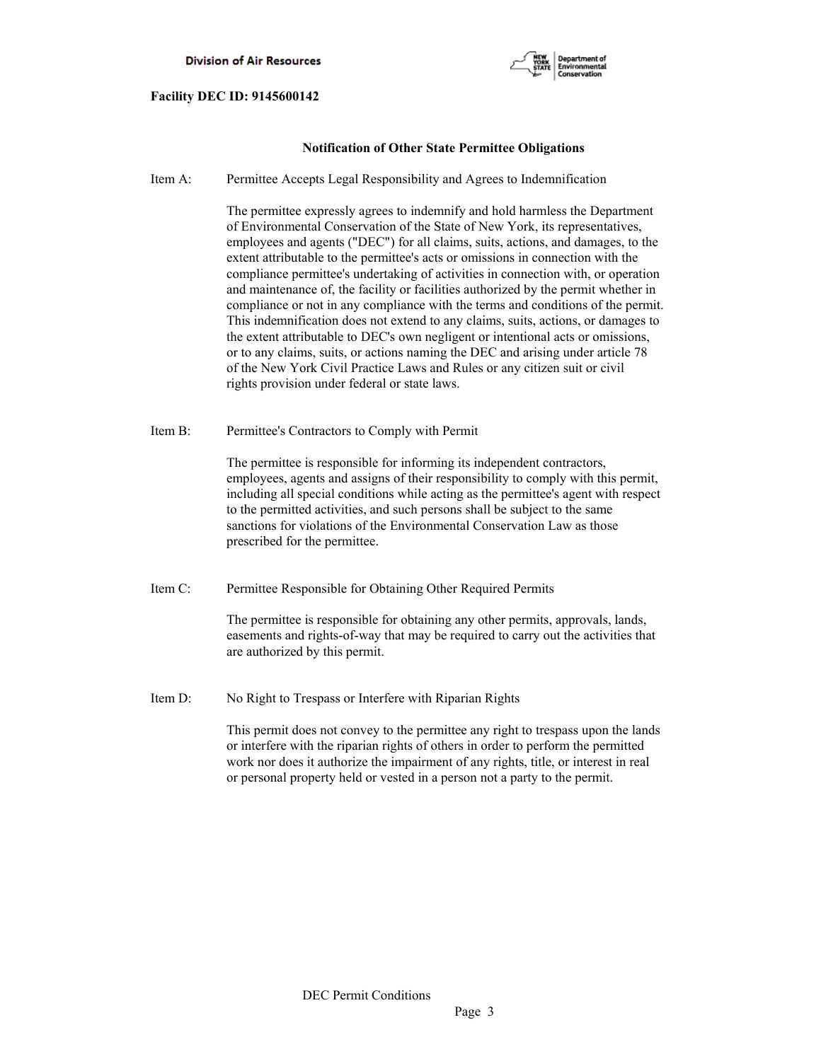

# **Notification of Other State Permittee Obligations**

Item A: Permittee Accepts Legal Responsibility and Agrees to Indemnification

 The permittee expressly agrees to indemnify and hold harmless the Department of Environmental Conservation of the State of New York, its representatives, employees and agents ("DEC") for all claims, suits, actions, and damages, to the extent attributable to the permittee's acts or omissions in connection with the compliance permittee's undertaking of activities in connection with, or operation and maintenance of, the facility or facilities authorized by the permit whether in compliance or not in any compliance with the terms and conditions of the permit. This indemnification does not extend to any claims, suits, actions, or damages to the extent attributable to DEC's own negligent or intentional acts or omissions, or to any claims, suits, or actions naming the DEC and arising under article 78 of the New York Civil Practice Laws and Rules or any citizen suit or civil rights provision under federal or state laws.

Item B: Permittee's Contractors to Comply with Permit

 The permittee is responsible for informing its independent contractors, employees, agents and assigns of their responsibility to comply with this permit, including all special conditions while acting as the permittee's agent with respect to the permitted activities, and such persons shall be subject to the same sanctions for violations of the Environmental Conservation Law as those prescribed for the permittee.

Item C: Permittee Responsible for Obtaining Other Required Permits

 The permittee is responsible for obtaining any other permits, approvals, lands, easements and rights-of-way that may be required to carry out the activities that are authorized by this permit.

Item D: No Right to Trespass or Interfere with Riparian Rights

 This permit does not convey to the permittee any right to trespass upon the lands or interfere with the riparian rights of others in order to perform the permitted work nor does it authorize the impairment of any rights, title, or interest in real or personal property held or vested in a person not a party to the permit.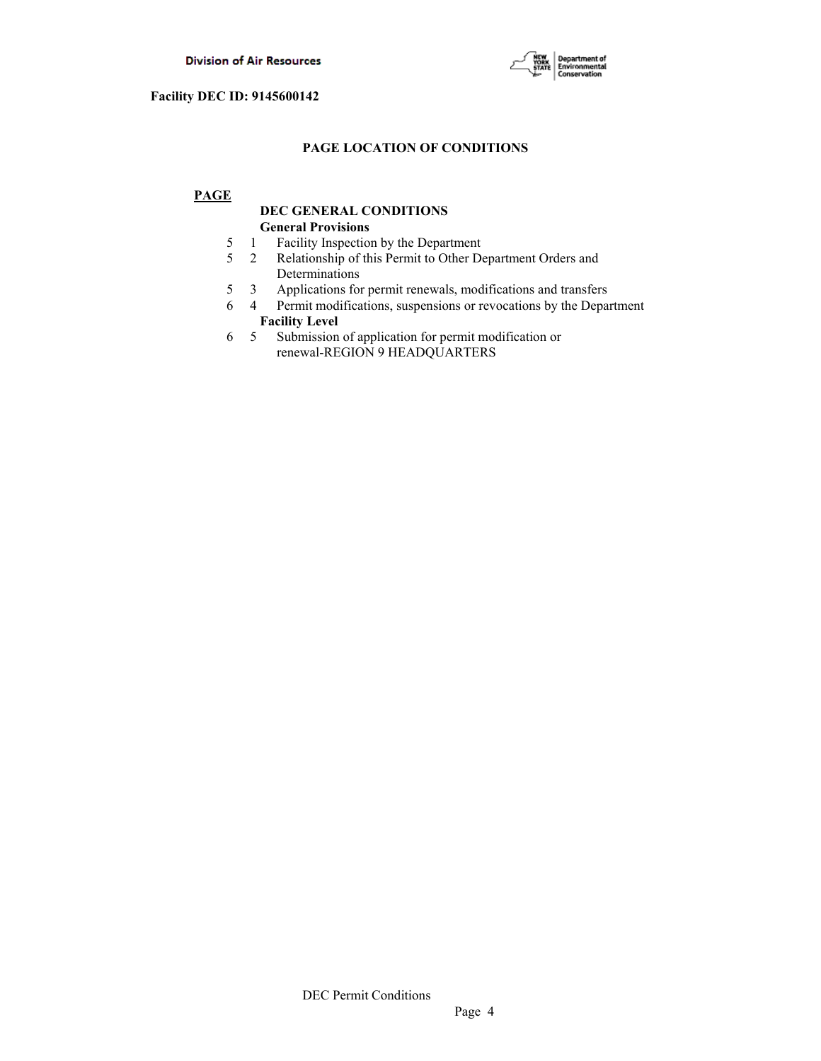

# **PAGE LOCATION OF CONDITIONS**

# **PAGE**

# **DEC GENERAL CONDITIONS General Provisions**

- 5 1 Facility Inspection by the Department
- 5 2 Relationship of this Permit to Other Department Orders and Determinations
- 5 3 Applications for permit renewals, modifications and transfers
- 6 4 Permit modifications, suspensions or revocations by the Department  **Facility Level**
- 6 5 Submission of application for permit modification or renewal-REGION 9 HEADQUARTERS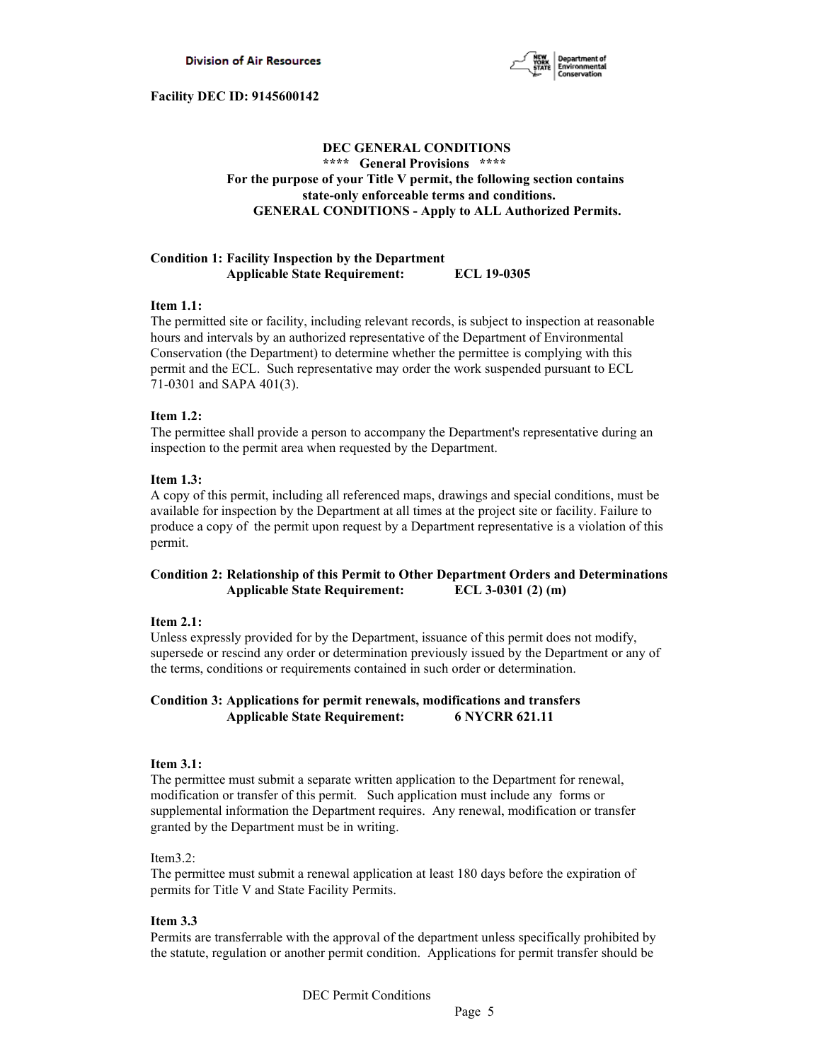

# **DEC GENERAL CONDITIONS \*\*\*\* General Provisions \*\*\*\* For the purpose of your Title V permit, the following section contains state-only enforceable terms and conditions. GENERAL CONDITIONS - Apply to ALL Authorized Permits.**

### **Condition 1: Facility Inspection by the Department Applicable State Requirement: ECL 19-0305**

### **Item 1.1:**

The permitted site or facility, including relevant records, is subject to inspection at reasonable hours and intervals by an authorized representative of the Department of Environmental Conservation (the Department) to determine whether the permittee is complying with this permit and the ECL. Such representative may order the work suspended pursuant to ECL 71-0301 and SAPA 401(3).

# **Item 1.2:**

The permittee shall provide a person to accompany the Department's representative during an inspection to the permit area when requested by the Department.

### **Item 1.3:**

A copy of this permit, including all referenced maps, drawings and special conditions, must be available for inspection by the Department at all times at the project site or facility. Failure to produce a copy of the permit upon request by a Department representative is a violation of this permit.

# **Condition 2: Relationship of this Permit to Other Department Orders and Determinations Applicable State Requirement: ECL 3-0301 (2) (m)**

### **Item 2.1:**

Unless expressly provided for by the Department, issuance of this permit does not modify, supersede or rescind any order or determination previously issued by the Department or any of the terms, conditions or requirements contained in such order or determination.

# **Condition 3: Applications for permit renewals, modifications and transfers Applicable State Requirement: 6 NYCRR 621.11**

### **Item 3.1:**

The permittee must submit a separate written application to the Department for renewal, modification or transfer of this permit. Such application must include any forms or supplemental information the Department requires. Any renewal, modification or transfer granted by the Department must be in writing.

### Item3.2:

The permittee must submit a renewal application at least 180 days before the expiration of permits for Title V and State Facility Permits.

### **Item 3.3**

Permits are transferrable with the approval of the department unless specifically prohibited by the statute, regulation or another permit condition. Applications for permit transfer should be

DEC Permit Conditions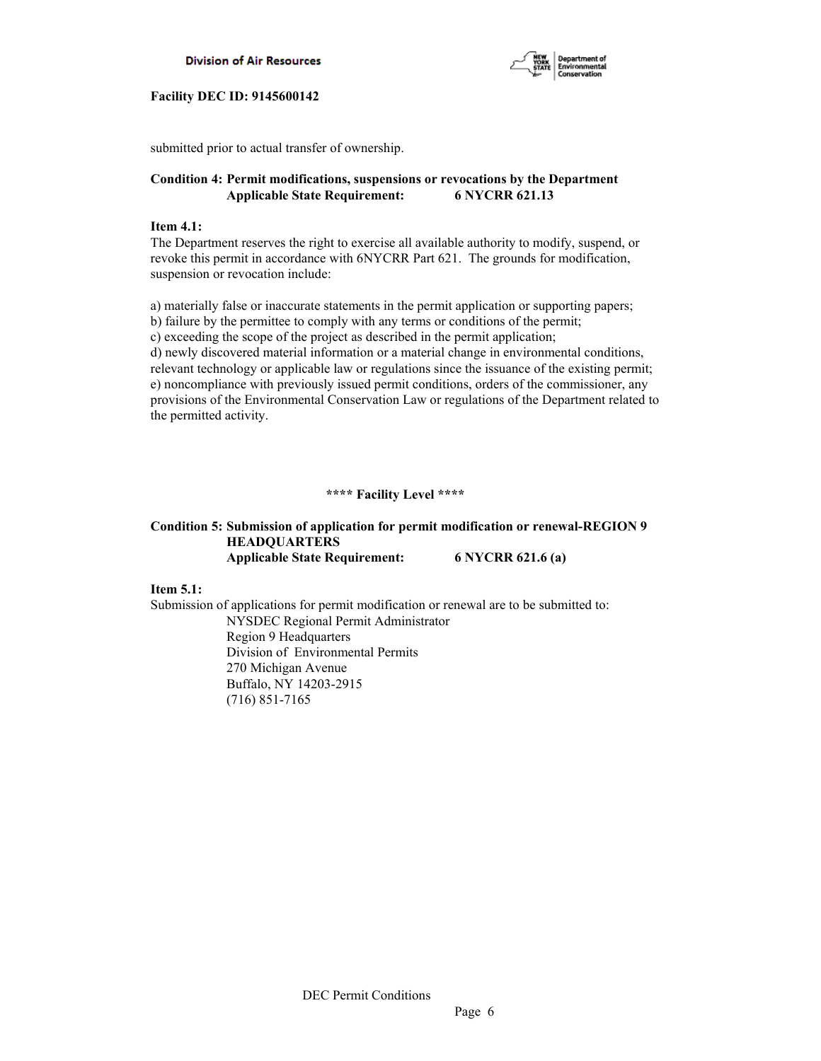



submitted prior to actual transfer of ownership.

# **Condition 4: Permit modifications, suspensions or revocations by the Department Applicable State Requirement: 6 NYCRR 621.13**

# **Item 4.1:**

The Department reserves the right to exercise all available authority to modify, suspend, or revoke this permit in accordance with 6NYCRR Part 621. The grounds for modification, suspension or revocation include:

a) materially false or inaccurate statements in the permit application or supporting papers; b) failure by the permittee to comply with any terms or conditions of the permit; c) exceeding the scope of the project as described in the permit application; d) newly discovered material information or a material change in environmental conditions, relevant technology or applicable law or regulations since the issuance of the existing permit; e) noncompliance with previously issued permit conditions, orders of the commissioner, any provisions of the Environmental Conservation Law or regulations of the Department related to the permitted activity.

# **\*\*\*\* Facility Level \*\*\*\***

# **Condition 5: Submission of application for permit modification or renewal-REGION 9 HEADQUARTERS Applicable State Requirement: 6 NYCRR 621.6 (a)**

**Item 5.1:**

Submission of applications for permit modification or renewal are to be submitted to: NYSDEC Regional Permit Administrator Region 9 Headquarters Division of Environmental Permits 270 Michigan Avenue Buffalo, NY 14203-2915 (716) 851-7165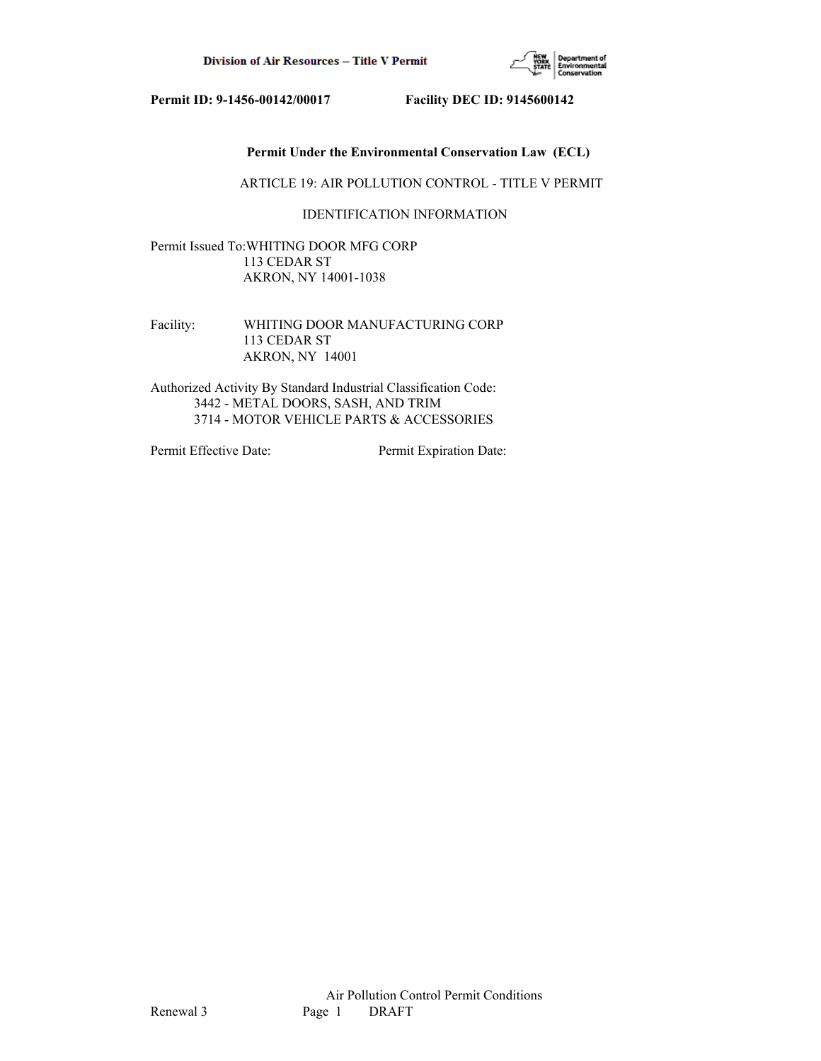

# **Permit Under the Environmental Conservation Law (ECL)**

ARTICLE 19: AIR POLLUTION CONTROL - TITLE V PERMIT

# IDENTIFICATION INFORMATION

Permit Issued To:WHITING DOOR MFG CORP 113 CEDAR ST AKRON, NY 14001-1038

Facility: WHITING DOOR MANUFACTURING CORP 113 CEDAR ST AKRON, NY 14001

Authorized Activity By Standard Industrial Classification Code: 3442 - METAL DOORS, SASH, AND TRIM 3714 - MOTOR VEHICLE PARTS & ACCESSORIES

Permit Effective Date: Permit Expiration Date: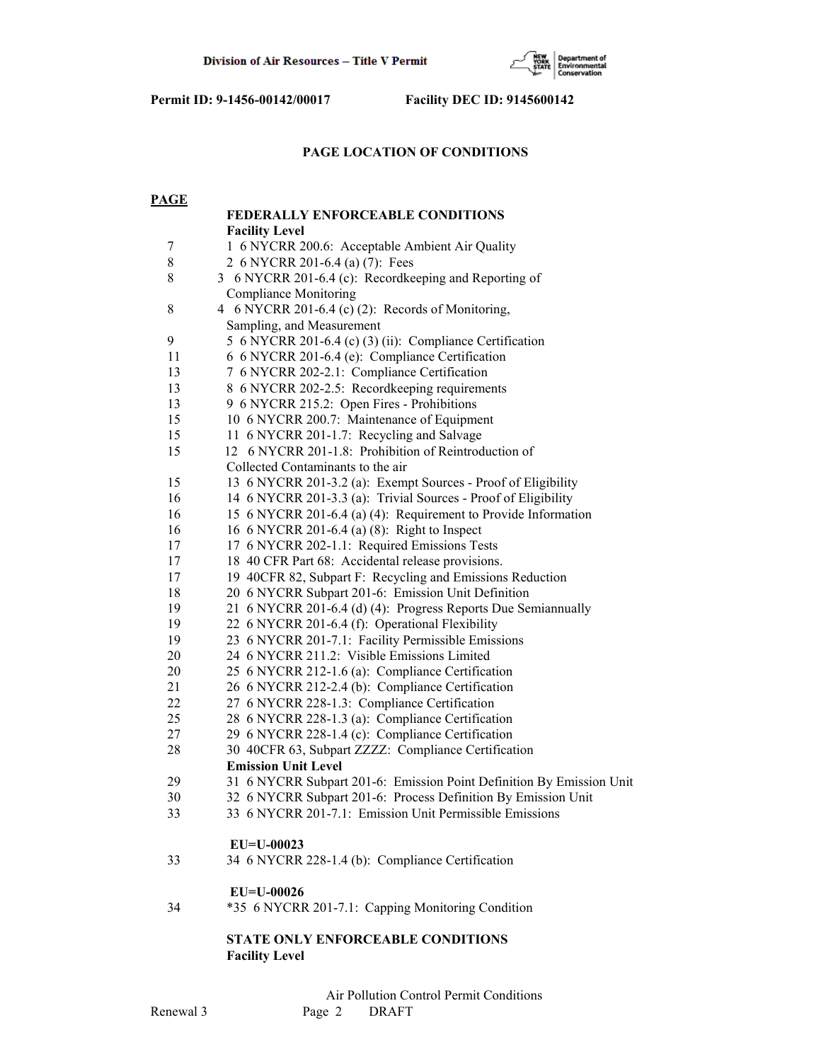

# **PAGE LOCATION OF CONDITIONS**

| <b>PAGE</b>    |                                                                                                                  |
|----------------|------------------------------------------------------------------------------------------------------------------|
|                | FEDERALLY ENFORCEABLE CONDITIONS                                                                                 |
|                | <b>Facility Level</b>                                                                                            |
| $\overline{7}$ | 1 6 NYCRR 200.6: Acceptable Ambient Air Quality                                                                  |
| $8\,$          | 2 6 NYCRR 201-6.4 (a) (7): Fees                                                                                  |
| $\,$ 8 $\,$    | 3 6 NYCRR 201-6.4 (c): Recordkeeping and Reporting of                                                            |
|                | <b>Compliance Monitoring</b>                                                                                     |
| $\,$ $\,$      | 4 6 NYCRR 201-6.4 (c) (2): Records of Monitoring,                                                                |
|                | Sampling, and Measurement                                                                                        |
| 9              | 5 6 NYCRR 201-6.4 (c) (3) (ii): Compliance Certification                                                         |
| 11             | 6 6 NYCRR 201-6.4 (e): Compliance Certification                                                                  |
| 13             | 7 6 NYCRR 202-2.1: Compliance Certification                                                                      |
| 13             | 8 6 NYCRR 202-2.5: Recordkeeping requirements                                                                    |
| 13             | 9 6 NYCRR 215.2: Open Fires - Prohibitions                                                                       |
| 15             | 10 6 NYCRR 200.7: Maintenance of Equipment                                                                       |
| 15             | 11 6 NYCRR 201-1.7: Recycling and Salvage                                                                        |
| 15             | 12 6 NYCRR 201-1.8: Prohibition of Reintroduction of                                                             |
|                | Collected Contaminants to the air                                                                                |
| 15             | 13 6 NYCRR 201-3.2 (a): Exempt Sources - Proof of Eligibility                                                    |
| 16             | 14 6 NYCRR 201-3.3 (a): Trivial Sources - Proof of Eligibility                                                   |
| 16             | 15 6 NYCRR 201-6.4 (a) (4): Requirement to Provide Information                                                   |
| 16             | 16 6 NYCRR 201-6.4 (a) (8): Right to Inspect                                                                     |
| 17             | 17 6 NYCRR 202-1.1: Required Emissions Tests                                                                     |
| 17             | 18 40 CFR Part 68: Accidental release provisions.                                                                |
| 17             | 19 40CFR 82, Subpart F: Recycling and Emissions Reduction                                                        |
| 18<br>19       | 20 6 NYCRR Subpart 201-6: Emission Unit Definition                                                               |
| 19             | 21 6 NYCRR 201-6.4 (d) (4): Progress Reports Due Semiannually<br>22 6 NYCRR 201-6.4 (f): Operational Flexibility |
| 19             | 23 6 NYCRR 201-7.1: Facility Permissible Emissions                                                               |
| 20             | 24 6 NYCRR 211.2: Visible Emissions Limited                                                                      |
| 20             | 25 6 NYCRR 212-1.6 (a): Compliance Certification                                                                 |
| 21             | 26 6 NYCRR 212-2.4 (b): Compliance Certification                                                                 |
| 22             | 27 6 NYCRR 228-1.3: Compliance Certification                                                                     |
| 25             | 28 6 NYCRR 228-1.3 (a): Compliance Certification                                                                 |
| 27             | 29 6 NYCRR 228-1.4 (c): Compliance Certification                                                                 |
| 28             | 30 40CFR 63, Subpart ZZZZ: Compliance Certification                                                              |
|                | <b>Emission Unit Level</b>                                                                                       |
| 29             | 31 6 NYCRR Subpart 201-6: Emission Point Definition By Emission Unit                                             |
| 30             | 32 6 NYCRR Subpart 201-6: Process Definition By Emission Unit                                                    |
| 33             | 33 6 NYCRR 201-7.1: Emission Unit Permissible Emissions                                                          |
|                | $EU=U-00023$                                                                                                     |
| 33             | 34 6 NYCRR 228-1.4 (b): Compliance Certification                                                                 |
|                | EU=U-00026                                                                                                       |
| 34             | *35 6 NYCRR 201-7.1: Capping Monitoring Condition                                                                |
|                | STATE ONLY ENFORCEABLE CONDITIONS                                                                                |
|                | <b>Facility Level</b>                                                                                            |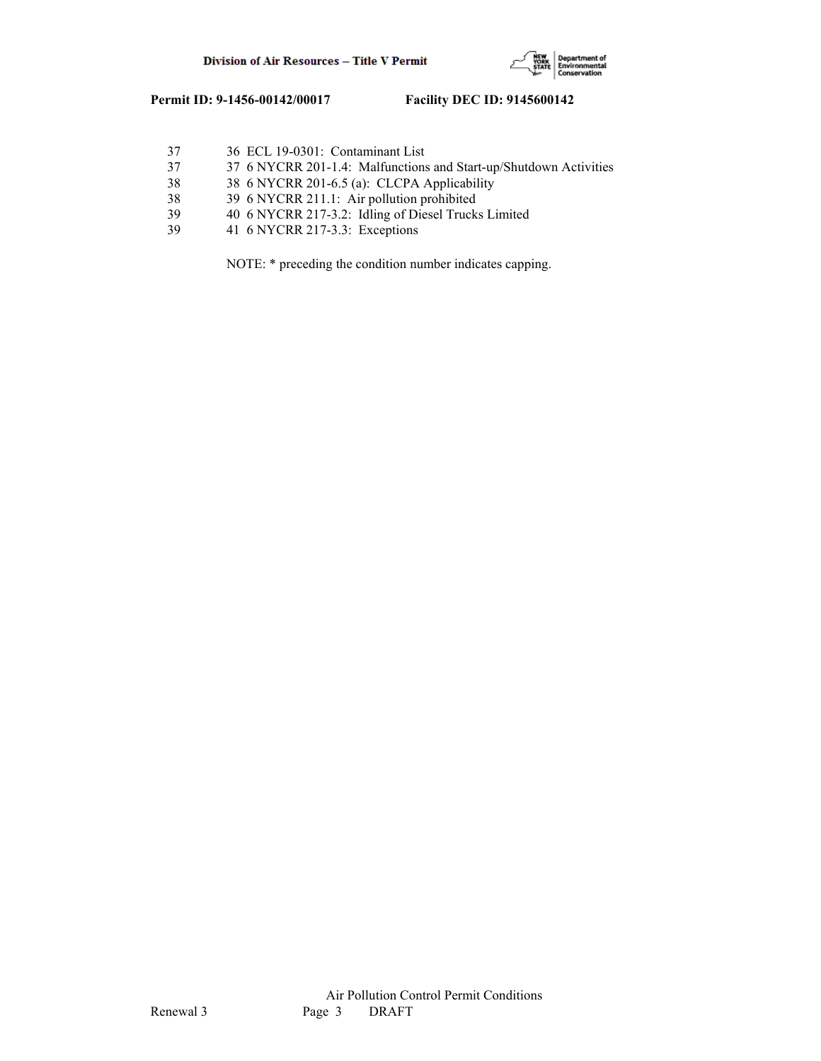

| 37 | 36 ECL 19-0301: Contaminant List                                  |
|----|-------------------------------------------------------------------|
| 37 | 37 6 NYCRR 201-1.4: Malfunctions and Start-up/Shutdown Activities |
| 38 | 38 6 NYCRR 201-6.5 (a): CLCPA Applicability                       |
| 38 | 39 6 NYCRR 211.1: Air pollution prohibited                        |
| 39 | 40 6 NYCRR 217-3.2: Idling of Diesel Trucks Limited               |
| 39 | 41 6 NYCRR 217-3.3: Exceptions                                    |
|    |                                                                   |

NOTE: \* preceding the condition number indicates capping.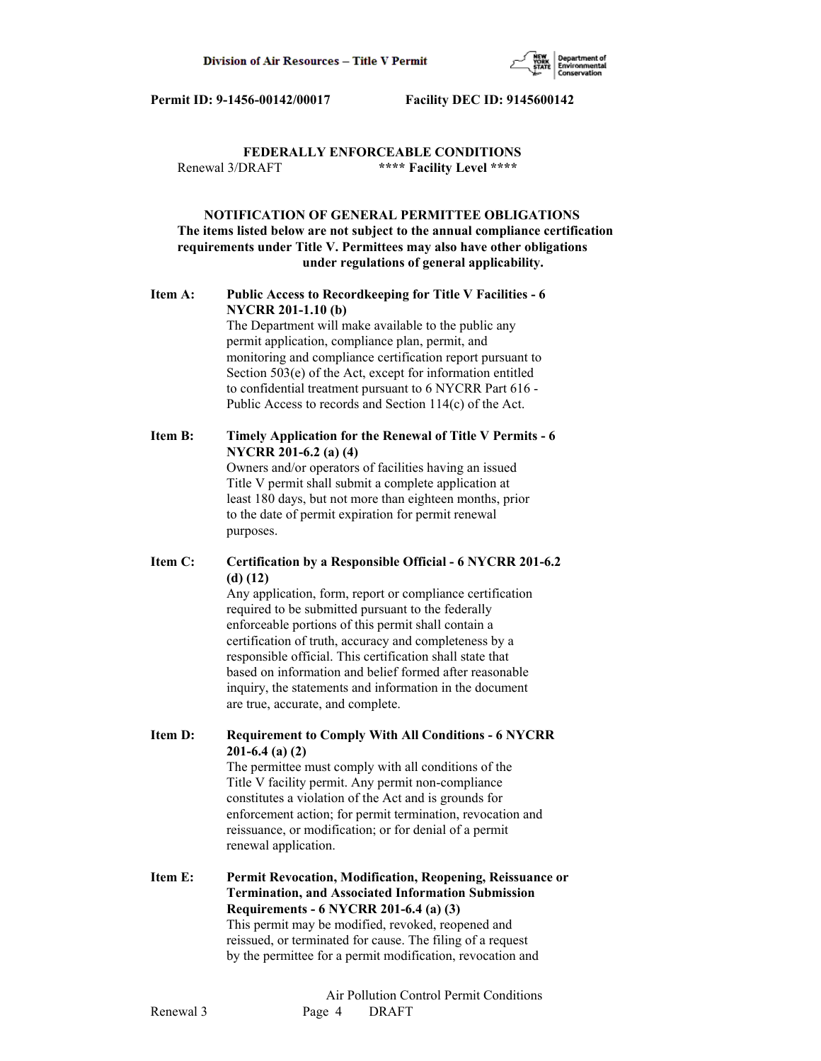

# **FEDERALLY ENFORCEABLE CONDITIONS** Renewal 3/DRAFT **\*\*\*\* Facility Level \*\*\*\***

# **NOTIFICATION OF GENERAL PERMITTEE OBLIGATIONS The items listed below are not subject to the annual compliance certification requirements under Title V. Permittees may also have other obligations under regulations of general applicability.**

# **Item A: Public Access to Recordkeeping for Title V Facilities - 6 NYCRR 201-1.10 (b)**

 The Department will make available to the public any permit application, compliance plan, permit, and monitoring and compliance certification report pursuant to Section 503(e) of the Act, except for information entitled to confidential treatment pursuant to 6 NYCRR Part 616 - Public Access to records and Section 114(c) of the Act.

# **Item B: Timely Application for the Renewal of Title V Permits - 6 NYCRR 201-6.2 (a) (4)**

 Owners and/or operators of facilities having an issued Title V permit shall submit a complete application at least 180 days, but not more than eighteen months, prior to the date of permit expiration for permit renewal purposes.

# **Item C: Certification by a Responsible Official - 6 NYCRR 201-6.2 (d) (12)**

 Any application, form, report or compliance certification required to be submitted pursuant to the federally enforceable portions of this permit shall contain a certification of truth, accuracy and completeness by a responsible official. This certification shall state that based on information and belief formed after reasonable inquiry, the statements and information in the document are true, accurate, and complete.

**Item D: Requirement to Comply With All Conditions - 6 NYCRR 201-6.4 (a) (2)**

 The permittee must comply with all conditions of the Title V facility permit. Any permit non-compliance constitutes a violation of the Act and is grounds for enforcement action; for permit termination, revocation and reissuance, or modification; or for denial of a permit renewal application.

**Item E: Permit Revocation, Modification, Reopening, Reissuance or Termination, and Associated Information Submission Requirements - 6 NYCRR 201-6.4 (a) (3)** This permit may be modified, revoked, reopened and reissued, or terminated for cause. The filing of a request by the permittee for a permit modification, revocation and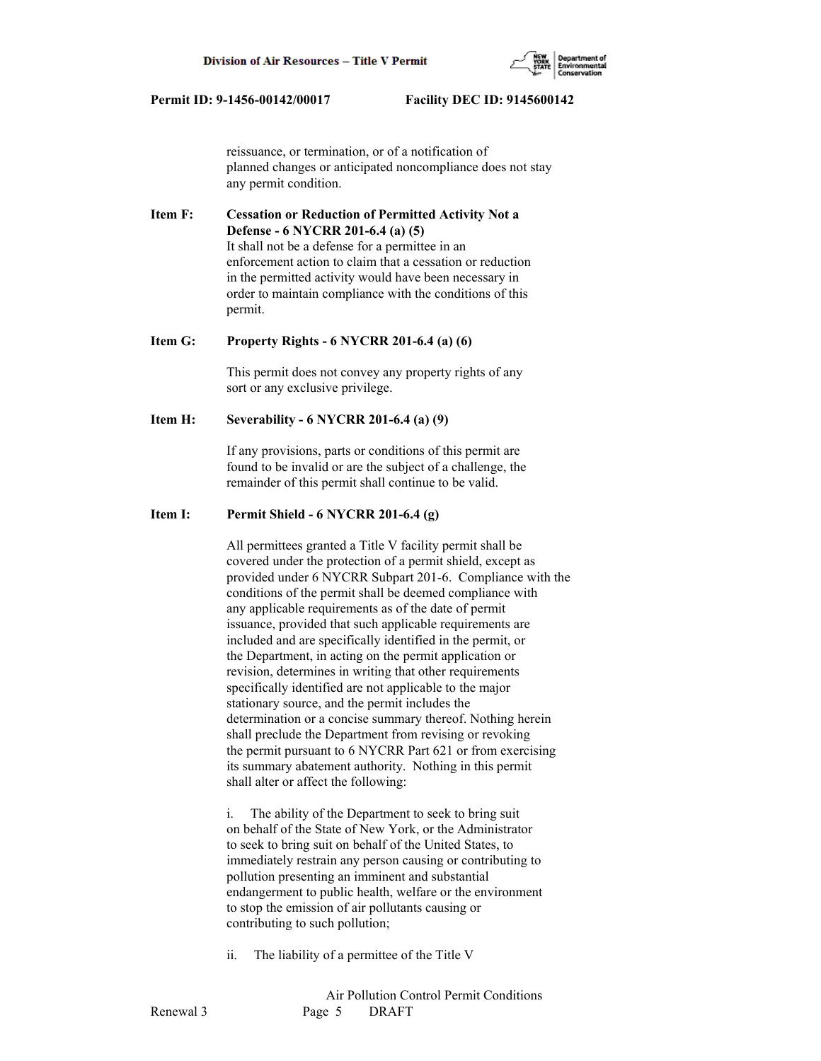

 reissuance, or termination, or of a notification of planned changes or anticipated noncompliance does not stay any permit condition.

**Item F: Cessation or Reduction of Permitted Activity Not a Defense - 6 NYCRR 201-6.4 (a) (5)** It shall not be a defense for a permittee in an enforcement action to claim that a cessation or reduction in the permitted activity would have been necessary in order to maintain compliance with the conditions of this permit.

#### **Item G: Property Rights - 6 NYCRR 201-6.4 (a) (6)**

 This permit does not convey any property rights of any sort or any exclusive privilege.

### **Item H: Severability - 6 NYCRR 201-6.4 (a) (9)**

 If any provisions, parts or conditions of this permit are found to be invalid or are the subject of a challenge, the remainder of this permit shall continue to be valid.

# **Item I: Permit Shield - 6 NYCRR 201-6.4 (g)**

 All permittees granted a Title V facility permit shall be covered under the protection of a permit shield, except as provided under 6 NYCRR Subpart 201-6. Compliance with the conditions of the permit shall be deemed compliance with any applicable requirements as of the date of permit issuance, provided that such applicable requirements are included and are specifically identified in the permit, or the Department, in acting on the permit application or revision, determines in writing that other requirements specifically identified are not applicable to the major stationary source, and the permit includes the determination or a concise summary thereof. Nothing herein shall preclude the Department from revising or revoking the permit pursuant to 6 NYCRR Part 621 or from exercising its summary abatement authority. Nothing in this permit shall alter or affect the following:

 i. The ability of the Department to seek to bring suit on behalf of the State of New York, or the Administrator to seek to bring suit on behalf of the United States, to immediately restrain any person causing or contributing to pollution presenting an imminent and substantial endangerment to public health, welfare or the environment to stop the emission of air pollutants causing or contributing to such pollution;

ii. The liability of a permittee of the Title V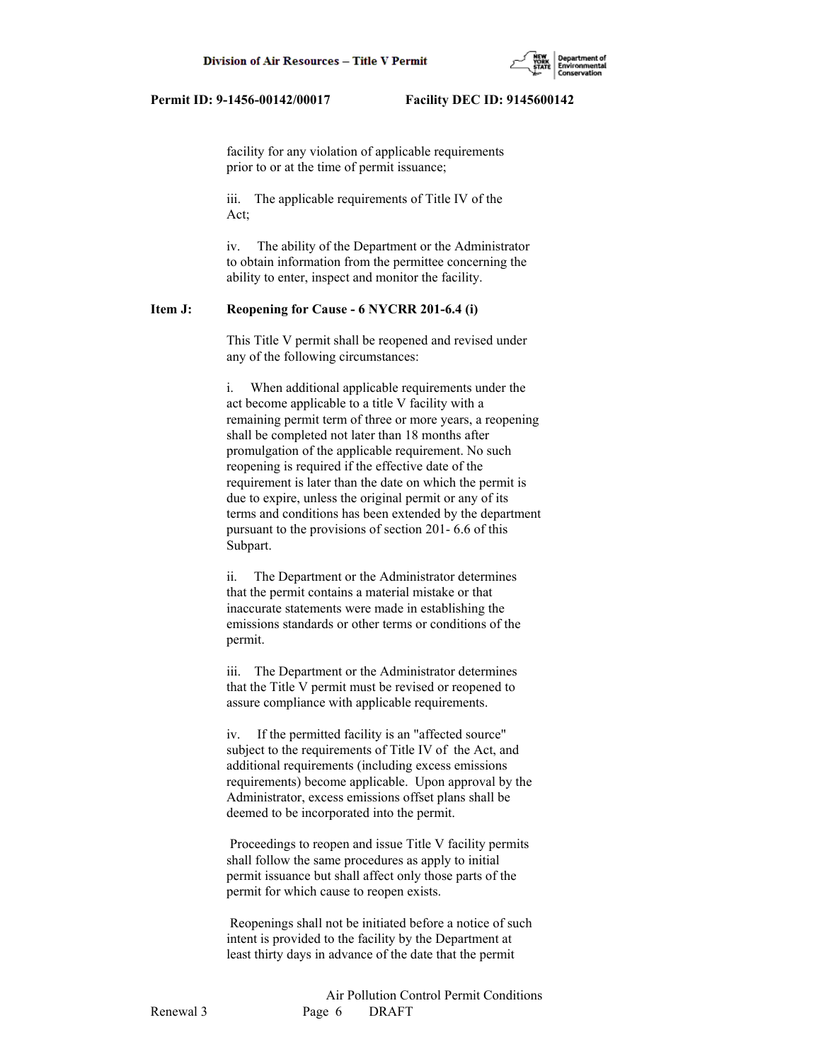

 facility for any violation of applicable requirements prior to or at the time of permit issuance;

 iii. The applicable requirements of Title IV of the Act;

 iv. The ability of the Department or the Administrator to obtain information from the permittee concerning the ability to enter, inspect and monitor the facility.

# **Item J: Reopening for Cause - 6 NYCRR 201-6.4 (i)**

 This Title V permit shall be reopened and revised under any of the following circumstances:

 i. When additional applicable requirements under the act become applicable to a title V facility with a remaining permit term of three or more years, a reopening shall be completed not later than 18 months after promulgation of the applicable requirement. No such reopening is required if the effective date of the requirement is later than the date on which the permit is due to expire, unless the original permit or any of its terms and conditions has been extended by the department pursuant to the provisions of section 201- 6.6 of this Subpart.

 ii. The Department or the Administrator determines that the permit contains a material mistake or that inaccurate statements were made in establishing the emissions standards or other terms or conditions of the permit.

 iii. The Department or the Administrator determines that the Title V permit must be revised or reopened to assure compliance with applicable requirements.

 iv. If the permitted facility is an "affected source" subject to the requirements of Title IV of the Act, and additional requirements (including excess emissions requirements) become applicable. Upon approval by the Administrator, excess emissions offset plans shall be deemed to be incorporated into the permit.

 Proceedings to reopen and issue Title V facility permits shall follow the same procedures as apply to initial permit issuance but shall affect only those parts of the permit for which cause to reopen exists.

 Reopenings shall not be initiated before a notice of such intent is provided to the facility by the Department at least thirty days in advance of the date that the permit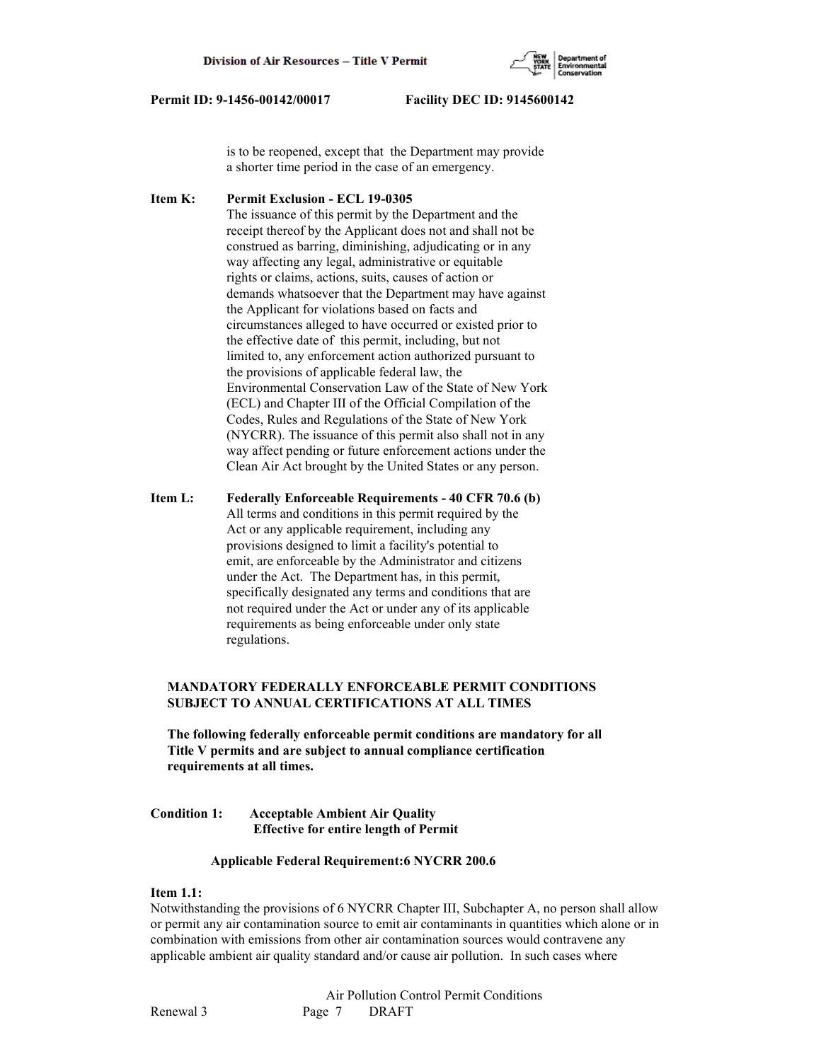

 is to be reopened, except that the Department may provide a shorter time period in the case of an emergency.

**Item K: Permit Exclusion - ECL 19-0305** The issuance of this permit by the Department and the receipt thereof by the Applicant does not and shall not be construed as barring, diminishing, adjudicating or in any way affecting any legal, administrative or equitable rights or claims, actions, suits, causes of action or demands whatsoever that the Department may have against the Applicant for violations based on facts and circumstances alleged to have occurred or existed prior to the effective date of this permit, including, but not limited to, any enforcement action authorized pursuant to the provisions of applicable federal law, the Environmental Conservation Law of the State of New York (ECL) and Chapter III of the Official Compilation of the Codes, Rules and Regulations of the State of New York (NYCRR). The issuance of this permit also shall not in any way affect pending or future enforcement actions under the Clean Air Act brought by the United States or any person.

**Item L: Federally Enforceable Requirements - 40 CFR 70.6 (b)** All terms and conditions in this permit required by the Act or any applicable requirement, including any provisions designed to limit a facility's potential to emit, are enforceable by the Administrator and citizens under the Act. The Department has, in this permit, specifically designated any terms and conditions that are not required under the Act or under any of its applicable requirements as being enforceable under only state regulations.

# **MANDATORY FEDERALLY ENFORCEABLE PERMIT CONDITIONS SUBJECT TO ANNUAL CERTIFICATIONS AT ALL TIMES**

 **The following federally enforceable permit conditions are mandatory for all Title V permits and are subject to annual compliance certification requirements at all times.**

# **Condition 1: Acceptable Ambient Air Quality Effective for entire length of Permit**

### **Applicable Federal Requirement:6 NYCRR 200.6**

## **Item 1.1:**

Notwithstanding the provisions of 6 NYCRR Chapter III, Subchapter A, no person shall allow or permit any air contamination source to emit air contaminants in quantities which alone or in combination with emissions from other air contamination sources would contravene any applicable ambient air quality standard and/or cause air pollution. In such cases where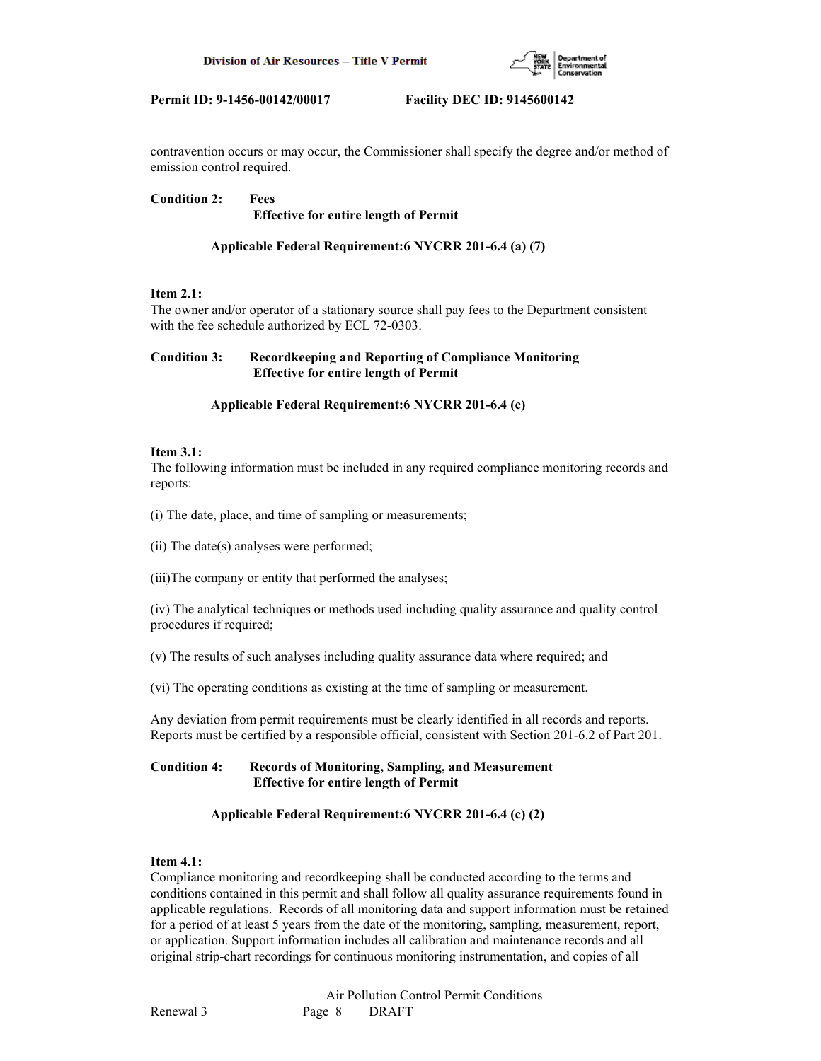

contravention occurs or may occur, the Commissioner shall specify the degree and/or method of emission control required.

**Condition 2: Fees Effective for entire length of Permit**

# **Applicable Federal Requirement:6 NYCRR 201-6.4 (a) (7)**

# **Item 2.1:**

The owner and/or operator of a stationary source shall pay fees to the Department consistent with the fee schedule authorized by ECL 72-0303.

# **Condition 3: Recordkeeping and Reporting of Compliance Monitoring Effective for entire length of Permit**

# **Applicable Federal Requirement:6 NYCRR 201-6.4 (c)**

### **Item 3.1:**

The following information must be included in any required compliance monitoring records and reports:

(i) The date, place, and time of sampling or measurements;

(ii) The date(s) analyses were performed;

(iii)The company or entity that performed the analyses;

(iv) The analytical techniques or methods used including quality assurance and quality control procedures if required;

(v) The results of such analyses including quality assurance data where required; and

(vi) The operating conditions as existing at the time of sampling or measurement.

Any deviation from permit requirements must be clearly identified in all records and reports. Reports must be certified by a responsible official, consistent with Section 201-6.2 of Part 201.

# **Condition 4: Records of Monitoring, Sampling, and Measurement Effective for entire length of Permit**

# **Applicable Federal Requirement:6 NYCRR 201-6.4 (c) (2)**

# **Item 4.1:**

Compliance monitoring and recordkeeping shall be conducted according to the terms and conditions contained in this permit and shall follow all quality assurance requirements found in applicable regulations. Records of all monitoring data and support information must be retained for a period of at least 5 years from the date of the monitoring, sampling, measurement, report, or application. Support information includes all calibration and maintenance records and all original strip-chart recordings for continuous monitoring instrumentation, and copies of all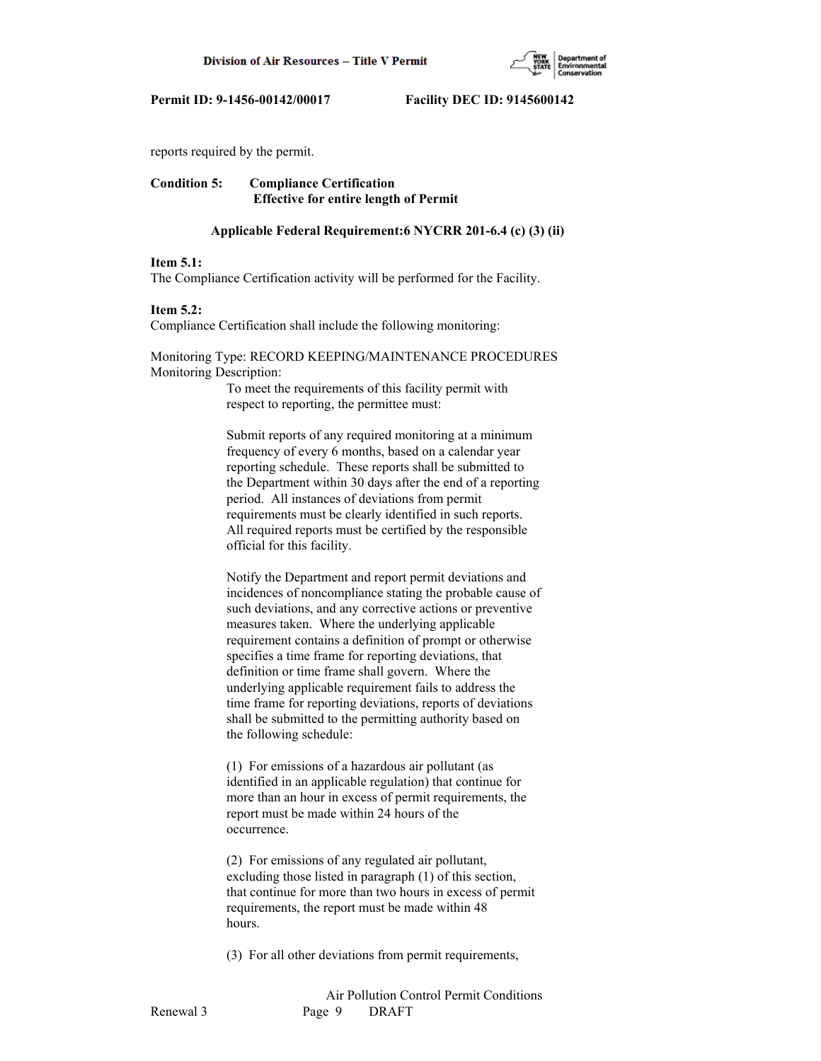

reports required by the permit.

# **Condition 5: Compliance Certification Effective for entire length of Permit**

### **Applicable Federal Requirement:6 NYCRR 201-6.4 (c) (3) (ii)**

#### **Item 5.1:**

The Compliance Certification activity will be performed for the Facility.

#### **Item 5.2:**

Compliance Certification shall include the following monitoring:

# Monitoring Type: RECORD KEEPING/MAINTENANCE PROCEDURES Monitoring Description:

 To meet the requirements of this facility permit with respect to reporting, the permittee must:

 Submit reports of any required monitoring at a minimum frequency of every 6 months, based on a calendar year reporting schedule. These reports shall be submitted to the Department within 30 days after the end of a reporting period. All instances of deviations from permit requirements must be clearly identified in such reports. All required reports must be certified by the responsible official for this facility.

 Notify the Department and report permit deviations and incidences of noncompliance stating the probable cause of such deviations, and any corrective actions or preventive measures taken. Where the underlying applicable requirement contains a definition of prompt or otherwise specifies a time frame for reporting deviations, that definition or time frame shall govern. Where the underlying applicable requirement fails to address the time frame for reporting deviations, reports of deviations shall be submitted to the permitting authority based on the following schedule:

 (1) For emissions of a hazardous air pollutant (as identified in an applicable regulation) that continue for more than an hour in excess of permit requirements, the report must be made within 24 hours of the occurrence.

 (2) For emissions of any regulated air pollutant, excluding those listed in paragraph (1) of this section, that continue for more than two hours in excess of permit requirements, the report must be made within 48 hours.

(3) For all other deviations from permit requirements,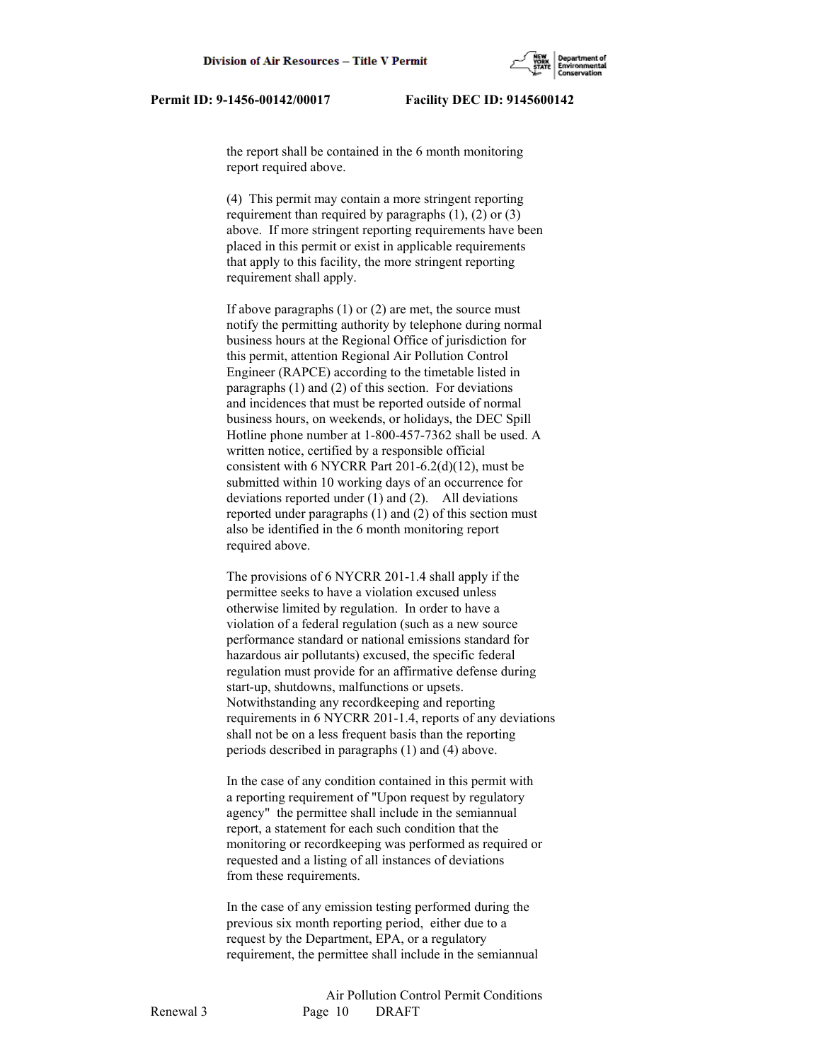the report shall be contained in the 6 month monitoring report required above.

 (4) This permit may contain a more stringent reporting requirement than required by paragraphs  $(1)$ ,  $(2)$  or  $(3)$  above. If more stringent reporting requirements have been placed in this permit or exist in applicable requirements that apply to this facility, the more stringent reporting requirement shall apply.

 If above paragraphs (1) or (2) are met, the source must notify the permitting authority by telephone during normal business hours at the Regional Office of jurisdiction for this permit, attention Regional Air Pollution Control Engineer (RAPCE) according to the timetable listed in paragraphs (1) and (2) of this section. For deviations and incidences that must be reported outside of normal business hours, on weekends, or holidays, the DEC Spill Hotline phone number at 1-800-457-7362 shall be used. A written notice, certified by a responsible official consistent with 6 NYCRR Part 201-6.2(d)(12), must be submitted within 10 working days of an occurrence for deviations reported under (1) and (2). All deviations reported under paragraphs (1) and (2) of this section must also be identified in the 6 month monitoring report required above.

 The provisions of 6 NYCRR 201-1.4 shall apply if the permittee seeks to have a violation excused unless otherwise limited by regulation. In order to have a violation of a federal regulation (such as a new source performance standard or national emissions standard for hazardous air pollutants) excused, the specific federal regulation must provide for an affirmative defense during start-up, shutdowns, malfunctions or upsets. Notwithstanding any recordkeeping and reporting requirements in 6 NYCRR 201-1.4, reports of any deviations shall not be on a less frequent basis than the reporting periods described in paragraphs (1) and (4) above.

 In the case of any condition contained in this permit with a reporting requirement of "Upon request by regulatory agency" the permittee shall include in the semiannual report, a statement for each such condition that the monitoring or recordkeeping was performed as required or requested and a listing of all instances of deviations from these requirements.

 In the case of any emission testing performed during the previous six month reporting period, either due to a request by the Department, EPA, or a regulatory requirement, the permittee shall include in the semiannual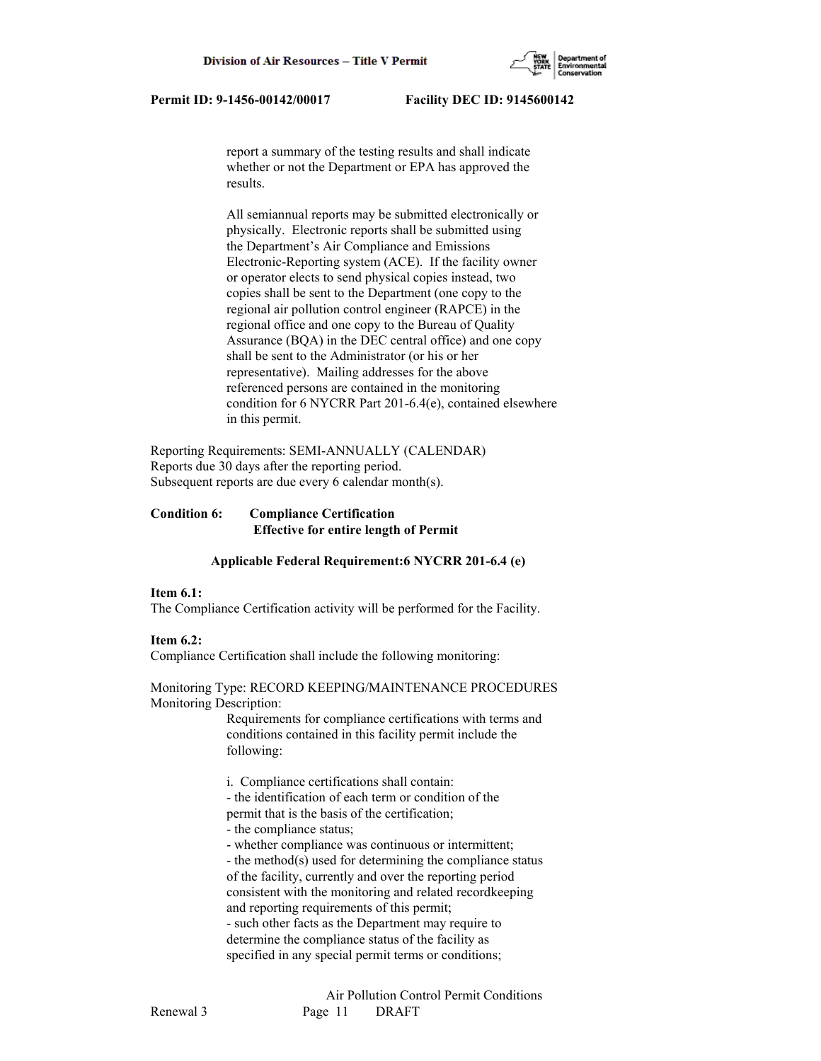

 report a summary of the testing results and shall indicate whether or not the Department or EPA has approved the results.

 All semiannual reports may be submitted electronically or physically. Electronic reports shall be submitted using the Department's Air Compliance and Emissions Electronic-Reporting system (ACE). If the facility owner or operator elects to send physical copies instead, two copies shall be sent to the Department (one copy to the regional air pollution control engineer (RAPCE) in the regional office and one copy to the Bureau of Quality Assurance (BQA) in the DEC central office) and one copy shall be sent to the Administrator (or his or her representative). Mailing addresses for the above referenced persons are contained in the monitoring condition for 6 NYCRR Part 201-6.4(e), contained elsewhere in this permit.

Reporting Requirements: SEMI-ANNUALLY (CALENDAR) Reports due 30 days after the reporting period. Subsequent reports are due every 6 calendar month(s).

# **Condition 6: Compliance Certification Effective for entire length of Permit**

### **Applicable Federal Requirement:6 NYCRR 201-6.4 (e)**

#### **Item 6.1:**

The Compliance Certification activity will be performed for the Facility.

#### **Item 6.2:**

Compliance Certification shall include the following monitoring:

#### Monitoring Type: RECORD KEEPING/MAINTENANCE PROCEDURES Monitoring Description:

 Requirements for compliance certifications with terms and conditions contained in this facility permit include the following:

i. Compliance certifications shall contain:

- the identification of each term or condition of the

permit that is the basis of the certification;

- the compliance status;

- whether compliance was continuous or intermittent;

 - the method(s) used for determining the compliance status of the facility, currently and over the reporting period consistent with the monitoring and related recordkeeping and reporting requirements of this permit; - such other facts as the Department may require to determine the compliance status of the facility as specified in any special permit terms or conditions;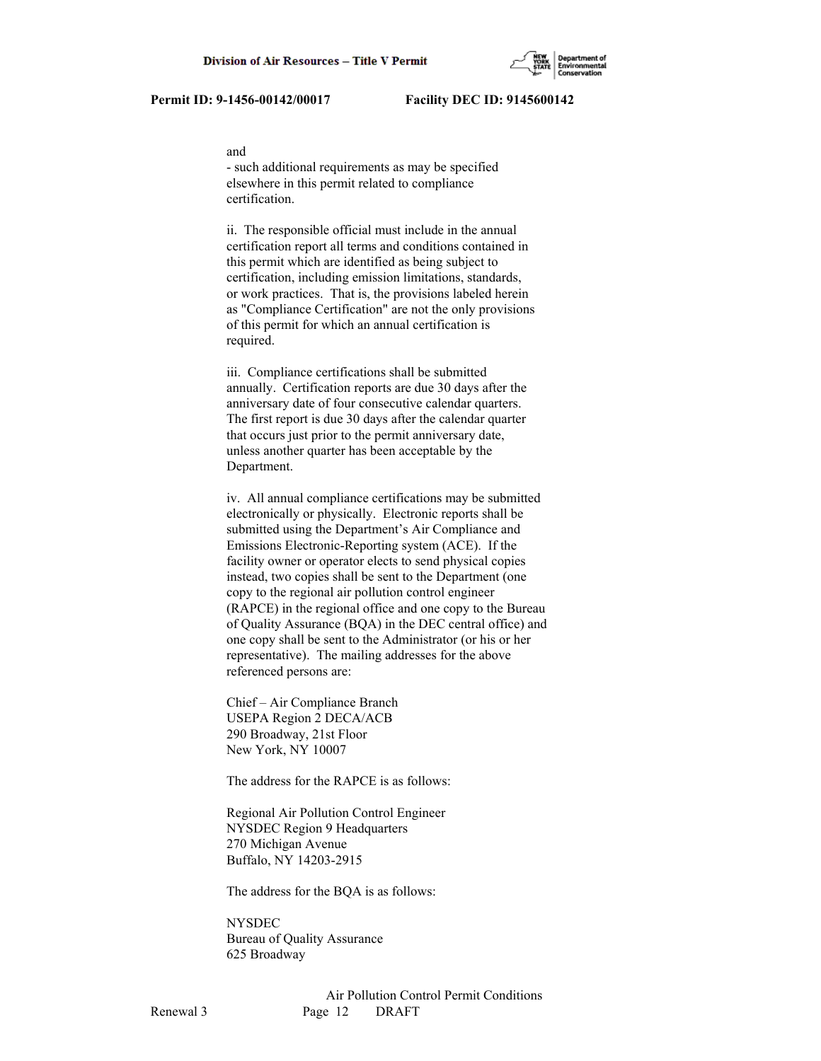#### and

 - such additional requirements as may be specified elsewhere in this permit related to compliance certification.

 ii. The responsible official must include in the annual certification report all terms and conditions contained in this permit which are identified as being subject to certification, including emission limitations, standards, or work practices. That is, the provisions labeled herein as "Compliance Certification" are not the only provisions of this permit for which an annual certification is required.

 iii. Compliance certifications shall be submitted annually. Certification reports are due 30 days after the anniversary date of four consecutive calendar quarters. The first report is due 30 days after the calendar quarter that occurs just prior to the permit anniversary date, unless another quarter has been acceptable by the Department.

 iv. All annual compliance certifications may be submitted electronically or physically. Electronic reports shall be submitted using the Department's Air Compliance and Emissions Electronic-Reporting system (ACE). If the facility owner or operator elects to send physical copies instead, two copies shall be sent to the Department (one copy to the regional air pollution control engineer (RAPCE) in the regional office and one copy to the Bureau of Quality Assurance (BQA) in the DEC central office) and one copy shall be sent to the Administrator (or his or her representative). The mailing addresses for the above referenced persons are:

 Chief – Air Compliance Branch USEPA Region 2 DECA/ACB 290 Broadway, 21st Floor New York, NY 10007

The address for the RAPCE is as follows:

 Regional Air Pollution Control Engineer NYSDEC Region 9 Headquarters 270 Michigan Avenue Buffalo, NY 14203-2915

The address for the BQA is as follows:

 NYSDEC Bureau of Quality Assurance 625 Broadway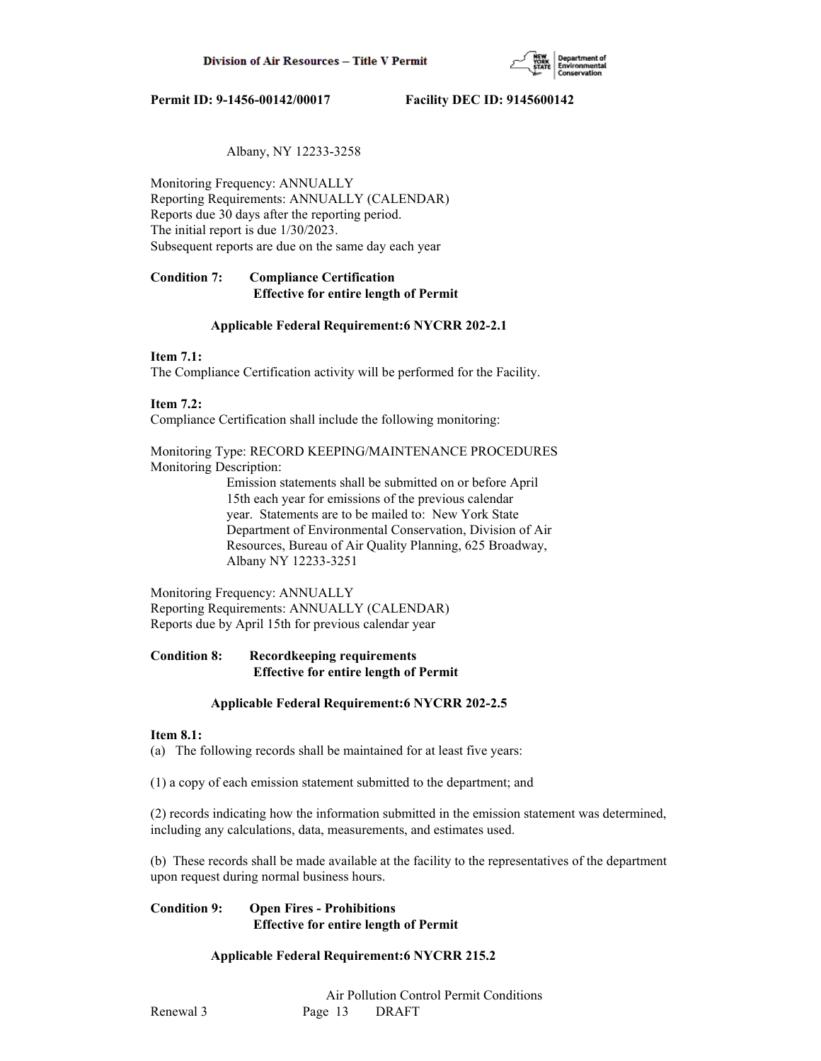

# Albany, NY 12233-3258

Monitoring Frequency: ANNUALLY Reporting Requirements: ANNUALLY (CALENDAR) Reports due 30 days after the reporting period. The initial report is due 1/30/2023. Subsequent reports are due on the same day each year

# **Condition 7: Compliance Certification Effective for entire length of Permit**

### **Applicable Federal Requirement:6 NYCRR 202-2.1**

# **Item 7.1:**

The Compliance Certification activity will be performed for the Facility.

# **Item 7.2:**

Compliance Certification shall include the following monitoring:

Monitoring Type: RECORD KEEPING/MAINTENANCE PROCEDURES Monitoring Description:

> Emission statements shall be submitted on or before April 15th each year for emissions of the previous calendar year. Statements are to be mailed to: New York State Department of Environmental Conservation, Division of Air Resources, Bureau of Air Quality Planning, 625 Broadway, Albany NY 12233-3251

Monitoring Frequency: ANNUALLY Reporting Requirements: ANNUALLY (CALENDAR) Reports due by April 15th for previous calendar year

# **Condition 8: Recordkeeping requirements Effective for entire length of Permit**

### **Applicable Federal Requirement:6 NYCRR 202-2.5**

### **Item 8.1:**

(a) The following records shall be maintained for at least five years:

(1) a copy of each emission statement submitted to the department; and

(2) records indicating how the information submitted in the emission statement was determined, including any calculations, data, measurements, and estimates used.

(b) These records shall be made available at the facility to the representatives of the department upon request during normal business hours.

# **Condition 9: Open Fires - Prohibitions Effective for entire length of Permit**

# **Applicable Federal Requirement:6 NYCRR 215.2**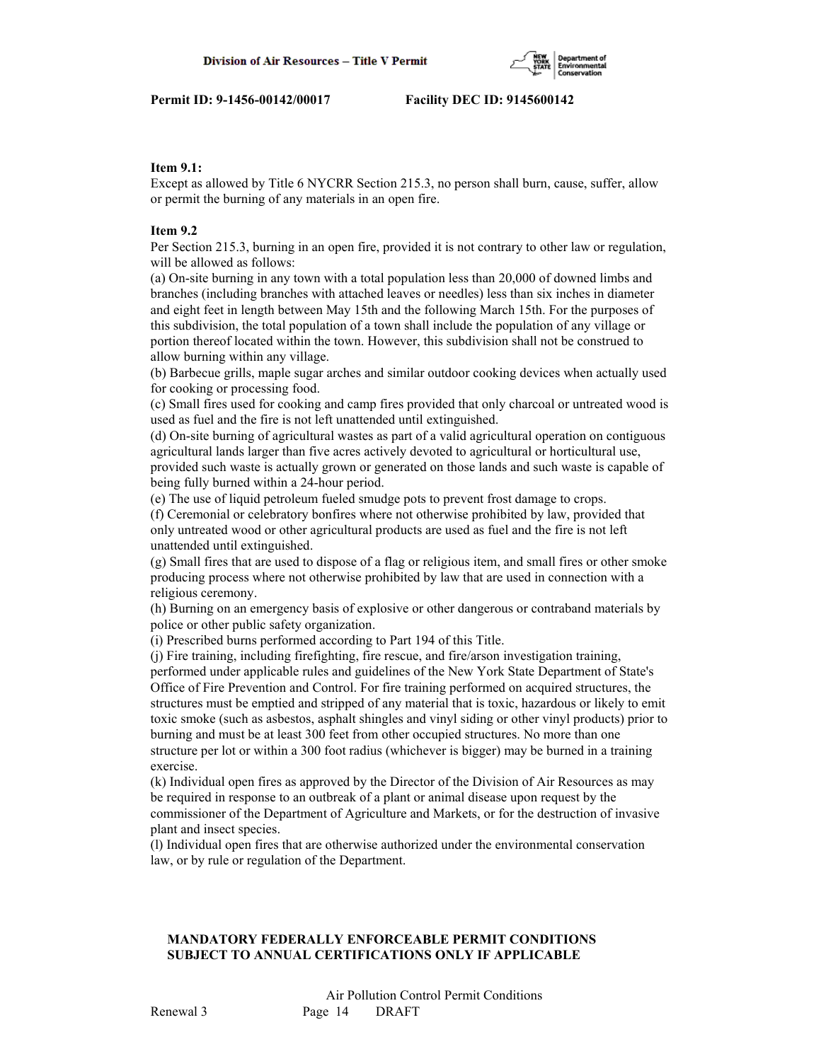

# **Item 9.1:**

Except as allowed by Title 6 NYCRR Section 215.3, no person shall burn, cause, suffer, allow or permit the burning of any materials in an open fire.

# **Item 9.2**

Per Section 215.3, burning in an open fire, provided it is not contrary to other law or regulation, will be allowed as follows:

(a) On-site burning in any town with a total population less than 20,000 of downed limbs and branches (including branches with attached leaves or needles) less than six inches in diameter and eight feet in length between May 15th and the following March 15th. For the purposes of this subdivision, the total population of a town shall include the population of any village or portion thereof located within the town. However, this subdivision shall not be construed to allow burning within any village.

(b) Barbecue grills, maple sugar arches and similar outdoor cooking devices when actually used for cooking or processing food.

(c) Small fires used for cooking and camp fires provided that only charcoal or untreated wood is used as fuel and the fire is not left unattended until extinguished.

(d) On-site burning of agricultural wastes as part of a valid agricultural operation on contiguous agricultural lands larger than five acres actively devoted to agricultural or horticultural use, provided such waste is actually grown or generated on those lands and such waste is capable of being fully burned within a 24-hour period.

(e) The use of liquid petroleum fueled smudge pots to prevent frost damage to crops.

(f) Ceremonial or celebratory bonfires where not otherwise prohibited by law, provided that only untreated wood or other agricultural products are used as fuel and the fire is not left unattended until extinguished.

(g) Small fires that are used to dispose of a flag or religious item, and small fires or other smoke producing process where not otherwise prohibited by law that are used in connection with a religious ceremony.

(h) Burning on an emergency basis of explosive or other dangerous or contraband materials by police or other public safety organization.

(i) Prescribed burns performed according to Part 194 of this Title.

(j) Fire training, including firefighting, fire rescue, and fire/arson investigation training, performed under applicable rules and guidelines of the New York State Department of State's Office of Fire Prevention and Control. For fire training performed on acquired structures, the structures must be emptied and stripped of any material that is toxic, hazardous or likely to emit toxic smoke (such as asbestos, asphalt shingles and vinyl siding or other vinyl products) prior to burning and must be at least 300 feet from other occupied structures. No more than one structure per lot or within a 300 foot radius (whichever is bigger) may be burned in a training exercise.

(k) Individual open fires as approved by the Director of the Division of Air Resources as may be required in response to an outbreak of a plant or animal disease upon request by the commissioner of the Department of Agriculture and Markets, or for the destruction of invasive plant and insect species.

(l) Individual open fires that are otherwise authorized under the environmental conservation law, or by rule or regulation of the Department.

# **MANDATORY FEDERALLY ENFORCEABLE PERMIT CONDITIONS SUBJECT TO ANNUAL CERTIFICATIONS ONLY IF APPLICABLE**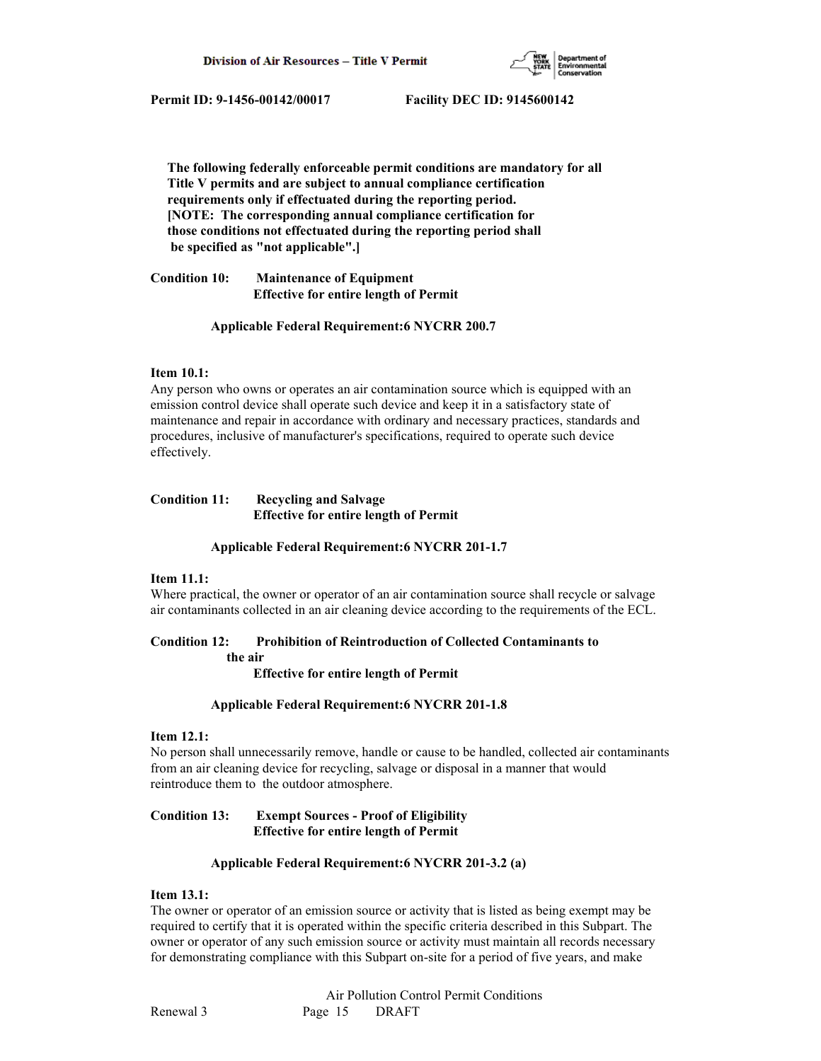

 **The following federally enforceable permit conditions are mandatory for all Title V permits and are subject to annual compliance certification requirements only if effectuated during the reporting period. [NOTE: The corresponding annual compliance certification for those conditions not effectuated during the reporting period shall be specified as "not applicable".]**

**Condition 10: Maintenance of Equipment Effective for entire length of Permit**

### **Applicable Federal Requirement:6 NYCRR 200.7**

### **Item 10.1:**

Any person who owns or operates an air contamination source which is equipped with an emission control device shall operate such device and keep it in a satisfactory state of maintenance and repair in accordance with ordinary and necessary practices, standards and procedures, inclusive of manufacturer's specifications, required to operate such device effectively.

# **Condition 11: Recycling and Salvage Effective for entire length of Permit**

### **Applicable Federal Requirement:6 NYCRR 201-1.7**

# **Item 11.1:**

Where practical, the owner or operator of an air contamination source shall recycle or salvage air contaminants collected in an air cleaning device according to the requirements of the ECL.

## **Condition 12: Prohibition of Reintroduction of Collected Contaminants to**

 **the air**

 **Effective for entire length of Permit**

### **Applicable Federal Requirement:6 NYCRR 201-1.8**

### **Item 12.1:**

No person shall unnecessarily remove, handle or cause to be handled, collected air contaminants from an air cleaning device for recycling, salvage or disposal in a manner that would reintroduce them to the outdoor atmosphere.

# **Condition 13: Exempt Sources - Proof of Eligibility Effective for entire length of Permit**

### **Applicable Federal Requirement:6 NYCRR 201-3.2 (a)**

# **Item 13.1:**

The owner or operator of an emission source or activity that is listed as being exempt may be required to certify that it is operated within the specific criteria described in this Subpart. The owner or operator of any such emission source or activity must maintain all records necessary for demonstrating compliance with this Subpart on-site for a period of five years, and make

 Air Pollution Control Permit Conditions Renewal 3 Page 15 DRAFT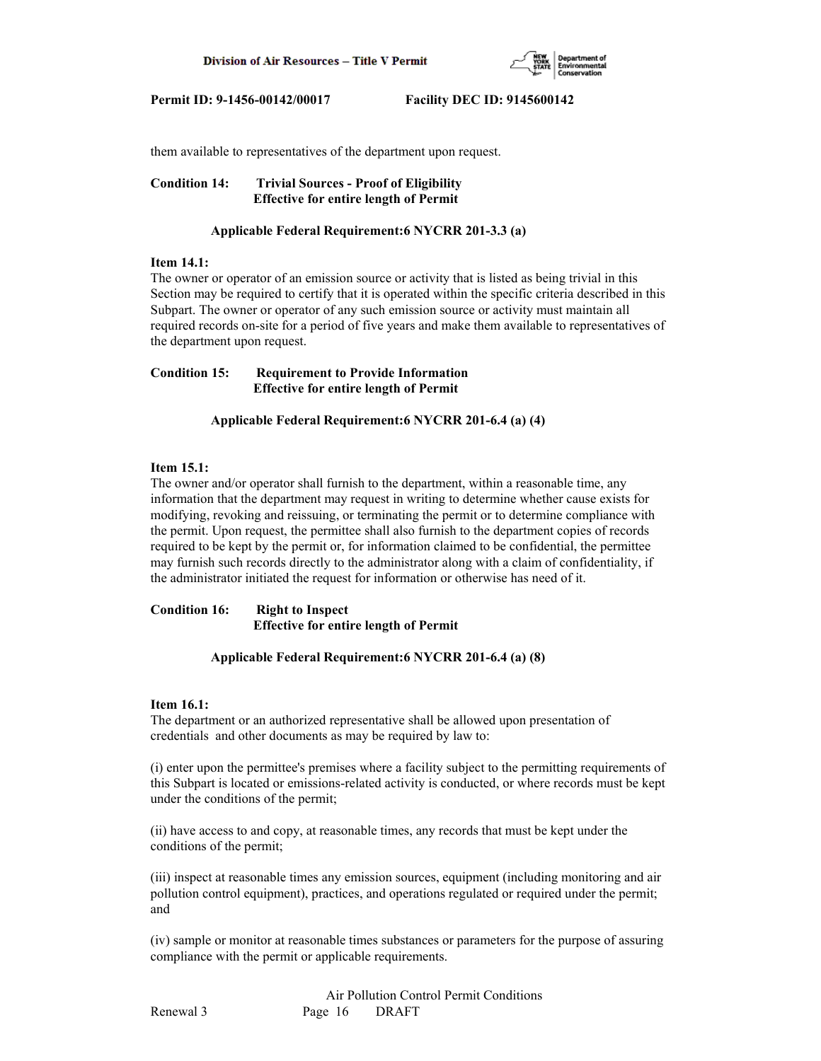

them available to representatives of the department upon request.

**Condition 14: Trivial Sources - Proof of Eligibility Effective for entire length of Permit**

### **Applicable Federal Requirement:6 NYCRR 201-3.3 (a)**

#### **Item 14.1:**

The owner or operator of an emission source or activity that is listed as being trivial in this Section may be required to certify that it is operated within the specific criteria described in this Subpart. The owner or operator of any such emission source or activity must maintain all required records on-site for a period of five years and make them available to representatives of the department upon request.

**Condition 15: Requirement to Provide Information Effective for entire length of Permit**

 **Applicable Federal Requirement:6 NYCRR 201-6.4 (a) (4)**

# **Item 15.1:**

The owner and/or operator shall furnish to the department, within a reasonable time, any information that the department may request in writing to determine whether cause exists for modifying, revoking and reissuing, or terminating the permit or to determine compliance with the permit. Upon request, the permittee shall also furnish to the department copies of records required to be kept by the permit or, for information claimed to be confidential, the permittee may furnish such records directly to the administrator along with a claim of confidentiality, if the administrator initiated the request for information or otherwise has need of it.

**Condition 16: Right to Inspect Effective for entire length of Permit**

### **Applicable Federal Requirement:6 NYCRR 201-6.4 (a) (8)**

### **Item 16.1:**

The department or an authorized representative shall be allowed upon presentation of credentials and other documents as may be required by law to:

(i) enter upon the permittee's premises where a facility subject to the permitting requirements of this Subpart is located or emissions-related activity is conducted, or where records must be kept under the conditions of the permit;

(ii) have access to and copy, at reasonable times, any records that must be kept under the conditions of the permit;

(iii) inspect at reasonable times any emission sources, equipment (including monitoring and air pollution control equipment), practices, and operations regulated or required under the permit; and

(iv) sample or monitor at reasonable times substances or parameters for the purpose of assuring compliance with the permit or applicable requirements.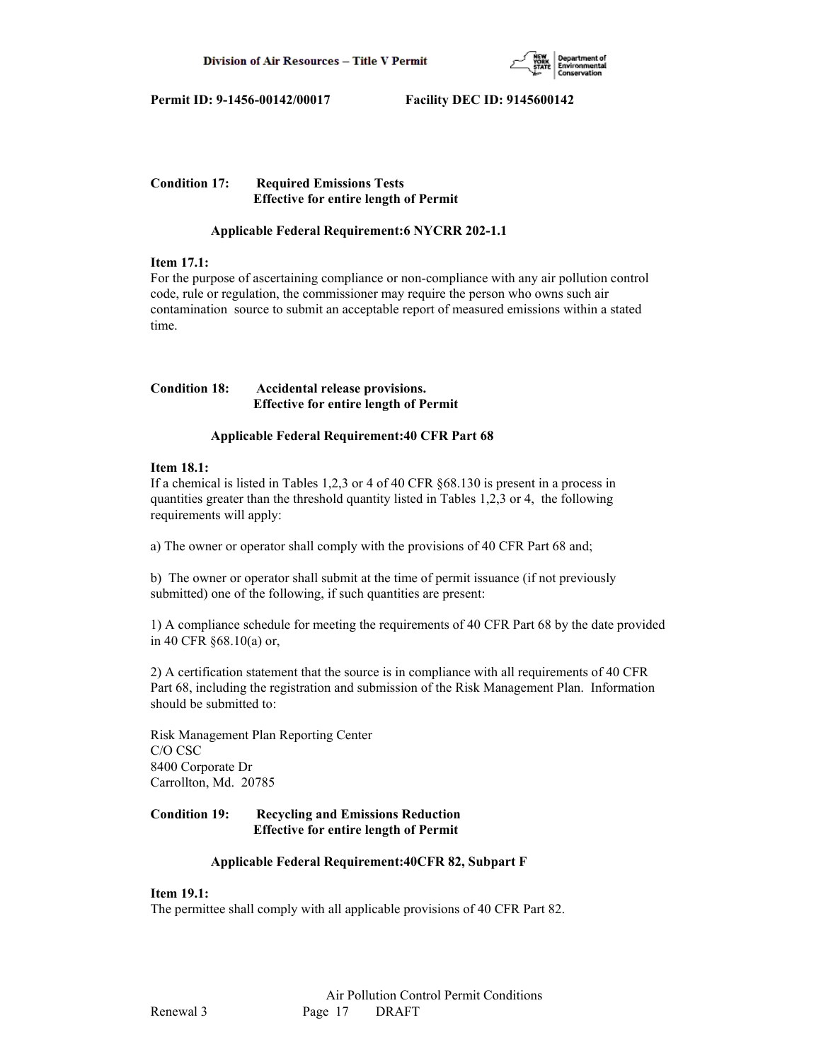

# **Condition 17: Required Emissions Tests Effective for entire length of Permit**

# **Applicable Federal Requirement:6 NYCRR 202-1.1**

# **Item 17.1:**

For the purpose of ascertaining compliance or non-compliance with any air pollution control code, rule or regulation, the commissioner may require the person who owns such air contamination source to submit an acceptable report of measured emissions within a stated time.

# **Condition 18: Accidental release provisions. Effective for entire length of Permit**

# **Applicable Federal Requirement:40 CFR Part 68**

# **Item 18.1:**

If a chemical is listed in Tables 1,2,3 or 4 of 40 CFR §68.130 is present in a process in quantities greater than the threshold quantity listed in Tables 1,2,3 or 4, the following requirements will apply:

a) The owner or operator shall comply with the provisions of 40 CFR Part 68 and;

b) The owner or operator shall submit at the time of permit issuance (if not previously submitted) one of the following, if such quantities are present:

1) A compliance schedule for meeting the requirements of 40 CFR Part 68 by the date provided in 40 CFR §68.10(a) or,

2) A certification statement that the source is in compliance with all requirements of 40 CFR Part 68, including the registration and submission of the Risk Management Plan. Information should be submitted to:

Risk Management Plan Reporting Center C/O CSC 8400 Corporate Dr Carrollton, Md. 20785

# **Condition 19: Recycling and Emissions Reduction Effective for entire length of Permit**

# **Applicable Federal Requirement:40CFR 82, Subpart F**

# **Item 19.1:**

The permittee shall comply with all applicable provisions of 40 CFR Part 82.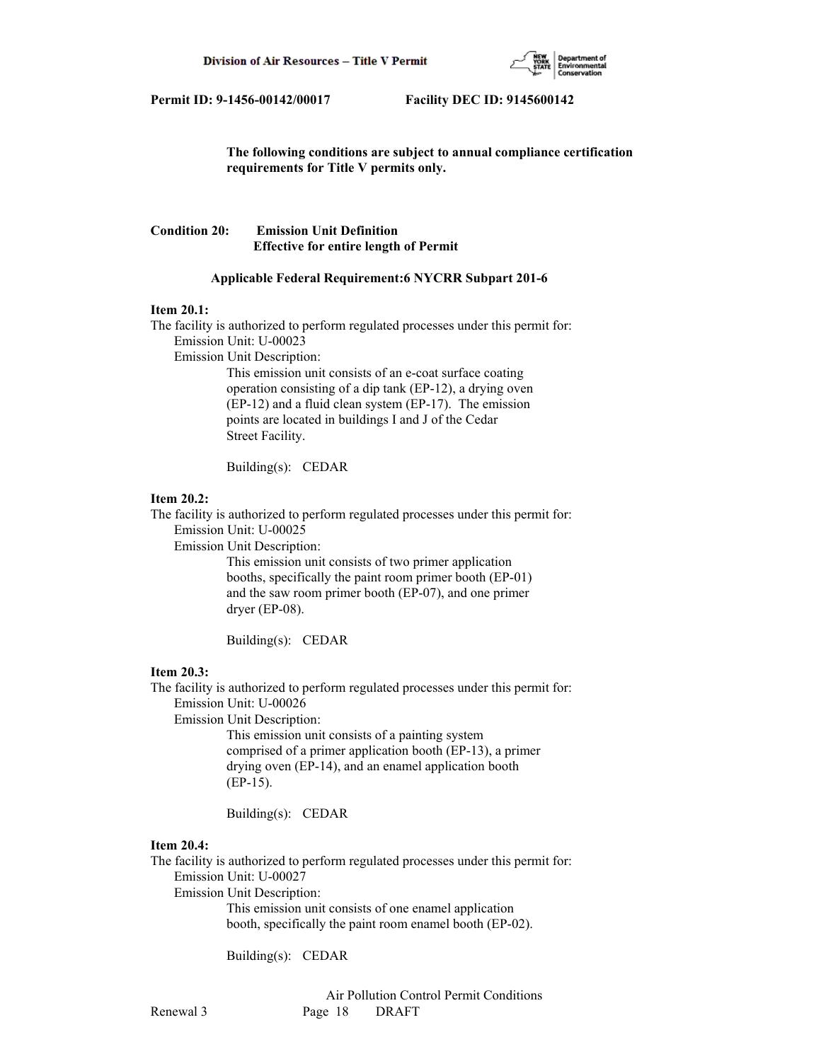

 **The following conditions are subject to annual compliance certification requirements for Title V permits only.**

# **Condition 20: Emission Unit Definition Effective for entire length of Permit**

#### **Applicable Federal Requirement:6 NYCRR Subpart 201-6**

#### **Item 20.1:**

The facility is authorized to perform regulated processes under this permit for: Emission Unit: U-00023 Emission Unit Description: This emission unit consists of an e-coat surface coating

 operation consisting of a dip tank (EP-12), a drying oven (EP-12) and a fluid clean system (EP-17). The emission points are located in buildings I and J of the Cedar Street Facility.

Building(s): CEDAR

#### **Item 20.2:**

The facility is authorized to perform regulated processes under this permit for:

Emission Unit: U-00025

Emission Unit Description:

 This emission unit consists of two primer application booths, specifically the paint room primer booth (EP-01) and the saw room primer booth (EP-07), and one primer dryer (EP-08).

Building(s): CEDAR

### **Item 20.3:**

The facility is authorized to perform regulated processes under this permit for: Emission Unit: U-00026

Emission Unit Description:

 This emission unit consists of a painting system comprised of a primer application booth (EP-13), a primer drying oven (EP-14), and an enamel application booth (EP-15).

Building(s): CEDAR

# **Item 20.4:**

The facility is authorized to perform regulated processes under this permit for: Emission Unit: U-00027

Emission Unit Description:

 This emission unit consists of one enamel application booth, specifically the paint room enamel booth (EP-02).

Building(s): CEDAR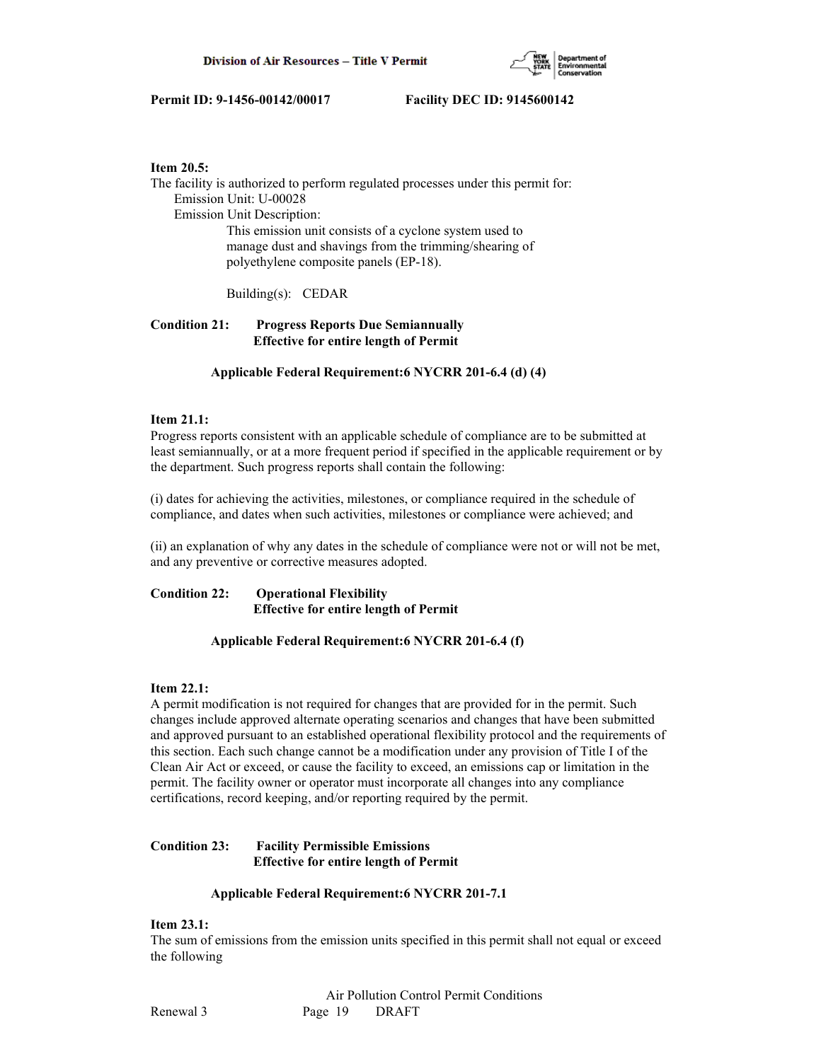

### **Item 20.5:**

The facility is authorized to perform regulated processes under this permit for: Emission Unit: U-00028 Emission Unit Description: This emission unit consists of a cyclone system used to manage dust and shavings from the trimming/shearing of polyethylene composite panels (EP-18).

Building(s): CEDAR

# **Condition 21: Progress Reports Due Semiannually Effective for entire length of Permit**

 **Applicable Federal Requirement:6 NYCRR 201-6.4 (d) (4)**

# **Item 21.1:**

Progress reports consistent with an applicable schedule of compliance are to be submitted at least semiannually, or at a more frequent period if specified in the applicable requirement or by the department. Such progress reports shall contain the following:

(i) dates for achieving the activities, milestones, or compliance required in the schedule of compliance, and dates when such activities, milestones or compliance were achieved; and

(ii) an explanation of why any dates in the schedule of compliance were not or will not be met, and any preventive or corrective measures adopted.

# **Condition 22: Operational Flexibility Effective for entire length of Permit**

### **Applicable Federal Requirement:6 NYCRR 201-6.4 (f)**

### **Item 22.1:**

A permit modification is not required for changes that are provided for in the permit. Such changes include approved alternate operating scenarios and changes that have been submitted and approved pursuant to an established operational flexibility protocol and the requirements of this section. Each such change cannot be a modification under any provision of Title I of the Clean Air Act or exceed, or cause the facility to exceed, an emissions cap or limitation in the permit. The facility owner or operator must incorporate all changes into any compliance certifications, record keeping, and/or reporting required by the permit.

# **Condition 23: Facility Permissible Emissions Effective for entire length of Permit**

### **Applicable Federal Requirement:6 NYCRR 201-7.1**

### **Item 23.1:**

The sum of emissions from the emission units specified in this permit shall not equal or exceed the following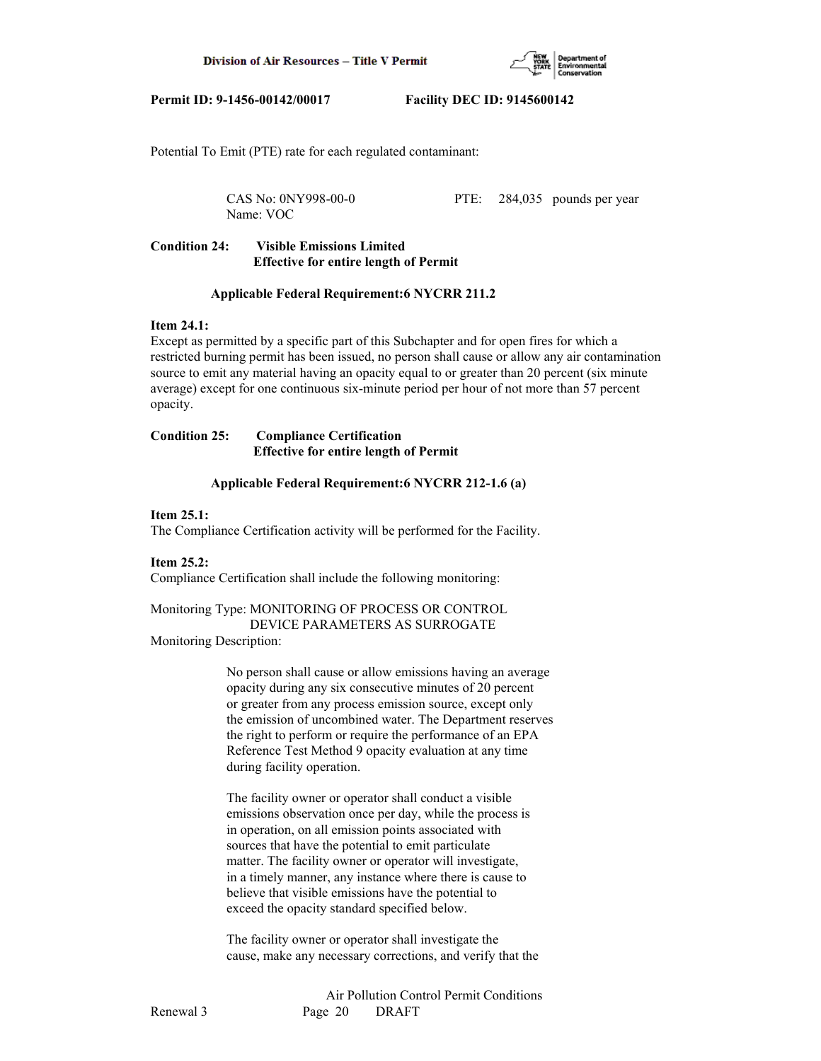

Potential To Emit (PTE) rate for each regulated contaminant:

Name: VOC

CAS No: 0NY998-00-0 PTE: 284,035 pounds per year

# **Condition 24: Visible Emissions Limited Effective for entire length of Permit**

#### **Applicable Federal Requirement:6 NYCRR 211.2**

# **Item 24.1:**

Except as permitted by a specific part of this Subchapter and for open fires for which a restricted burning permit has been issued, no person shall cause or allow any air contamination source to emit any material having an opacity equal to or greater than 20 percent (six minute average) except for one continuous six-minute period per hour of not more than 57 percent opacity.

# **Condition 25: Compliance Certification Effective for entire length of Permit**

#### **Applicable Federal Requirement:6 NYCRR 212-1.6 (a)**

#### **Item 25.1:**

The Compliance Certification activity will be performed for the Facility.

#### **Item 25.2:**

Compliance Certification shall include the following monitoring:

Monitoring Type: MONITORING OF PROCESS OR CONTROL DEVICE PARAMETERS AS SURROGATE Monitoring Description:

> No person shall cause or allow emissions having an average opacity during any six consecutive minutes of 20 percent or greater from any process emission source, except only the emission of uncombined water. The Department reserves the right to perform or require the performance of an EPA Reference Test Method 9 opacity evaluation at any time during facility operation.

 The facility owner or operator shall conduct a visible emissions observation once per day, while the process is in operation, on all emission points associated with sources that have the potential to emit particulate matter. The facility owner or operator will investigate, in a timely manner, any instance where there is cause to believe that visible emissions have the potential to exceed the opacity standard specified below.

 The facility owner or operator shall investigate the cause, make any necessary corrections, and verify that the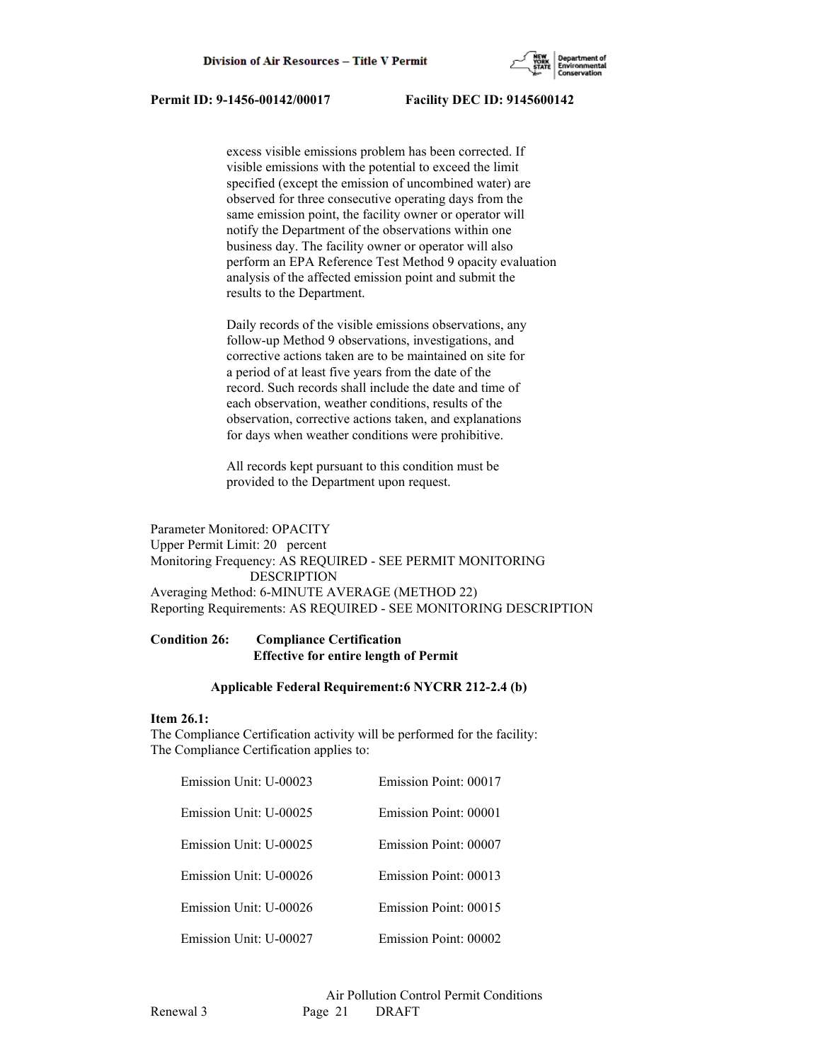

 excess visible emissions problem has been corrected. If visible emissions with the potential to exceed the limit specified (except the emission of uncombined water) are observed for three consecutive operating days from the same emission point, the facility owner or operator will notify the Department of the observations within one business day. The facility owner or operator will also perform an EPA Reference Test Method 9 opacity evaluation analysis of the affected emission point and submit the results to the Department.

 Daily records of the visible emissions observations, any follow-up Method 9 observations, investigations, and corrective actions taken are to be maintained on site for a period of at least five years from the date of the record. Such records shall include the date and time of each observation, weather conditions, results of the observation, corrective actions taken, and explanations for days when weather conditions were prohibitive.

 All records kept pursuant to this condition must be provided to the Department upon request.

Parameter Monitored: OPACITY Upper Permit Limit: 20 percent Monitoring Frequency: AS REQUIRED - SEE PERMIT MONITORING DESCRIPTION Averaging Method: 6-MINUTE AVERAGE (METHOD 22) Reporting Requirements: AS REQUIRED - SEE MONITORING DESCRIPTION

# **Condition 26: Compliance Certification Effective for entire length of Permit**

#### **Applicable Federal Requirement:6 NYCRR 212-2.4 (b)**

#### **Item 26.1:**

The Compliance Certification activity will be performed for the facility: The Compliance Certification applies to:

| Emission Unit: U-00023 | Emission Point: 00017 |
|------------------------|-----------------------|
| Emission Unit: U-00025 | Emission Point: 00001 |
| Emission Unit: U-00025 | Emission Point: 00007 |
| Emission Unit: U-00026 | Emission Point: 00013 |
| Emission Unit: U-00026 | Emission Point: 00015 |
| Emission Unit: U-00027 | Emission Point: 00002 |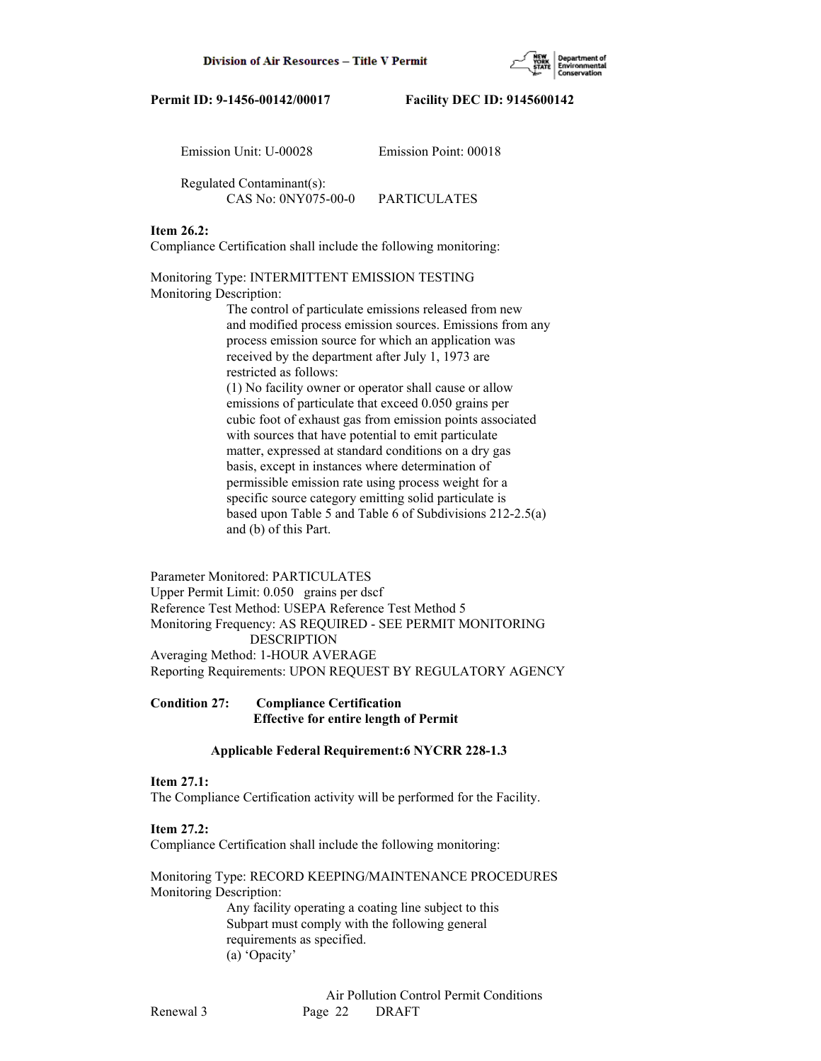

| Emission Unit: U-00028                           | Emission Point: 00018 |
|--------------------------------------------------|-----------------------|
| Regulated Contaminant(s):<br>CAS No: 0NY075-00-0 | PARTICULATES          |

### **Item 26.2:**

Compliance Certification shall include the following monitoring:

Monitoring Type: INTERMITTENT EMISSION TESTING Monitoring Description:

> The control of particulate emissions released from new and modified process emission sources. Emissions from any process emission source for which an application was received by the department after July 1, 1973 are restricted as follows: (1) No facility owner or operator shall cause or allow emissions of particulate that exceed 0.050 grains per cubic foot of exhaust gas from emission points associated with sources that have potential to emit particulate matter, expressed at standard conditions on a dry gas basis, except in instances where determination of permissible emission rate using process weight for a specific source category emitting solid particulate is based upon Table 5 and Table 6 of Subdivisions 212-2.5(a) and (b) of this Part.

Parameter Monitored: PARTICULATES Upper Permit Limit: 0.050 grains per dscf Reference Test Method: USEPA Reference Test Method 5 Monitoring Frequency: AS REQUIRED - SEE PERMIT MONITORING DESCRIPTION Averaging Method: 1-HOUR AVERAGE Reporting Requirements: UPON REQUEST BY REGULATORY AGENCY

**Condition 27: Compliance Certification Effective for entire length of Permit**

### **Applicable Federal Requirement:6 NYCRR 228-1.3**

### **Item 27.1:**

The Compliance Certification activity will be performed for the Facility.

#### **Item 27.2:**

Compliance Certification shall include the following monitoring:

Monitoring Type: RECORD KEEPING/MAINTENANCE PROCEDURES Monitoring Description:

> Any facility operating a coating line subject to this Subpart must comply with the following general requirements as specified. (a) 'Opacity'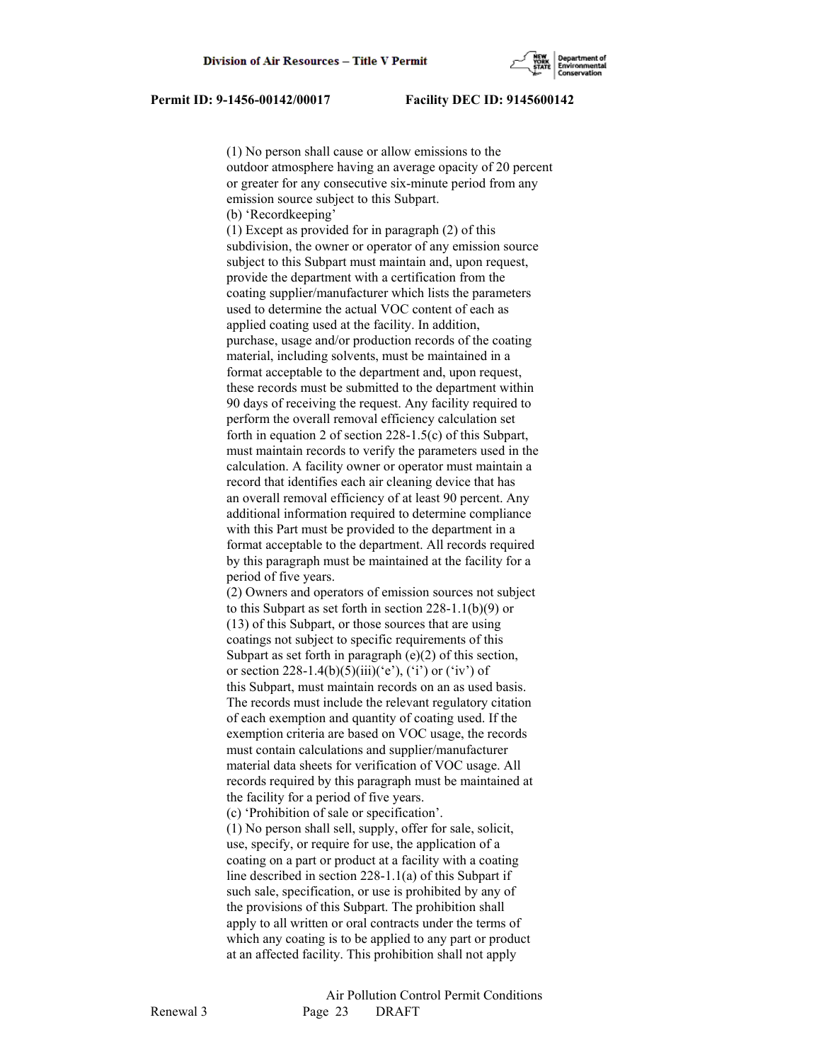(1) No person shall cause or allow emissions to the outdoor atmosphere having an average opacity of 20 percent or greater for any consecutive six-minute period from any emission source subject to this Subpart. (b) 'Recordkeeping'

 (1) Except as provided for in paragraph (2) of this subdivision, the owner or operator of any emission source subject to this Subpart must maintain and, upon request, provide the department with a certification from the coating supplier/manufacturer which lists the parameters used to determine the actual VOC content of each as applied coating used at the facility. In addition, purchase, usage and/or production records of the coating material, including solvents, must be maintained in a format acceptable to the department and, upon request, these records must be submitted to the department within 90 days of receiving the request. Any facility required to perform the overall removal efficiency calculation set forth in equation 2 of section 228-1.5(c) of this Subpart, must maintain records to verify the parameters used in the calculation. A facility owner or operator must maintain a record that identifies each air cleaning device that has an overall removal efficiency of at least 90 percent. Any additional information required to determine compliance with this Part must be provided to the department in a format acceptable to the department. All records required by this paragraph must be maintained at the facility for a period of five years.

 (2) Owners and operators of emission sources not subject to this Subpart as set forth in section 228-1.1(b)(9) or (13) of this Subpart, or those sources that are using coatings not subject to specific requirements of this Subpart as set forth in paragraph (e)(2) of this section, or section 228-1.4(b)(5)(iii)('e'), ('i') or ('iv') of this Subpart, must maintain records on an as used basis. The records must include the relevant regulatory citation of each exemption and quantity of coating used. If the exemption criteria are based on VOC usage, the records must contain calculations and supplier/manufacturer material data sheets for verification of VOC usage. All records required by this paragraph must be maintained at the facility for a period of five years.

(c) 'Prohibition of sale or specification'.

 (1) No person shall sell, supply, offer for sale, solicit, use, specify, or require for use, the application of a coating on a part or product at a facility with a coating line described in section 228-1.1(a) of this Subpart if such sale, specification, or use is prohibited by any of the provisions of this Subpart. The prohibition shall apply to all written or oral contracts under the terms of which any coating is to be applied to any part or product at an affected facility. This prohibition shall not apply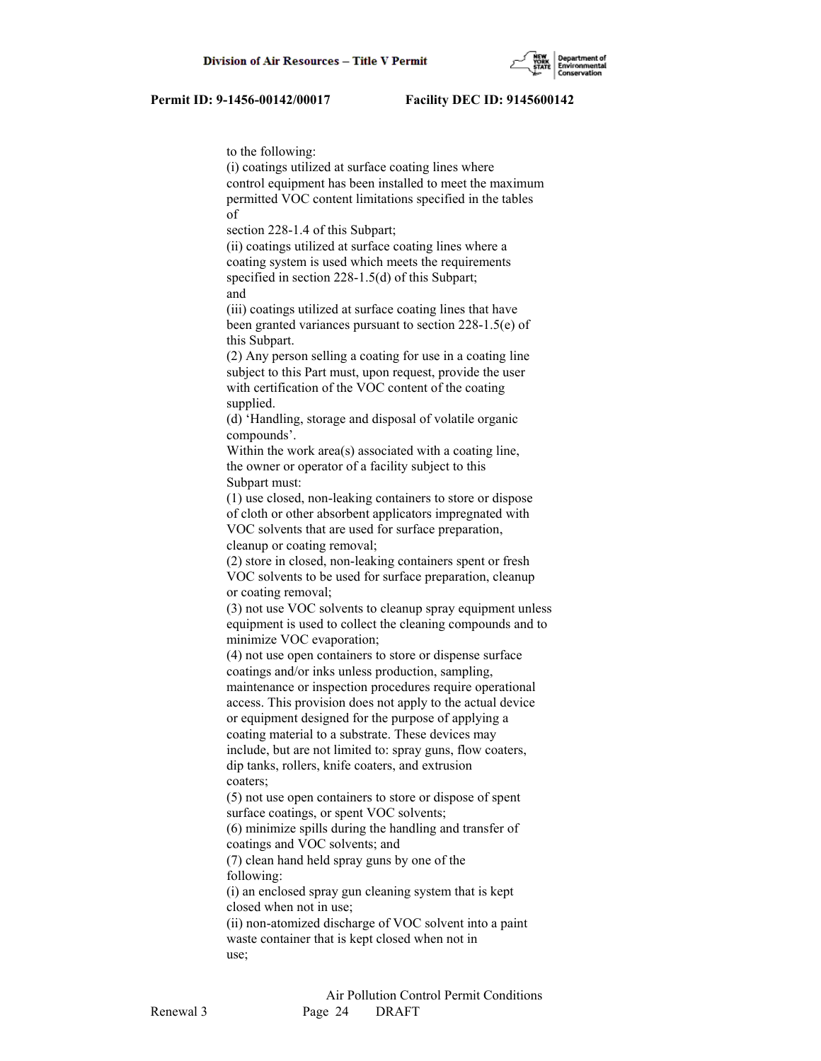

to the following:

 (i) coatings utilized at surface coating lines where control equipment has been installed to meet the maximum permitted VOC content limitations specified in the tables of section 228-1.4 of this Subpart; (ii) coatings utilized at surface coating lines where a coating system is used which meets the requirements specified in section 228-1.5(d) of this Subpart; and (iii) coatings utilized at surface coating lines that have been granted variances pursuant to section 228-1.5(e) of this Subpart. (2) Any person selling a coating for use in a coating line subject to this Part must, upon request, provide the user with certification of the VOC content of the coating supplied. (d) 'Handling, storage and disposal of volatile organic compounds'. Within the work area(s) associated with a coating line, the owner or operator of a facility subject to this Subpart must: (1) use closed, non-leaking containers to store or dispose of cloth or other absorbent applicators impregnated with VOC solvents that are used for surface preparation, cleanup or coating removal; (2) store in closed, non-leaking containers spent or fresh VOC solvents to be used for surface preparation, cleanup or coating removal; (3) not use VOC solvents to cleanup spray equipment unless equipment is used to collect the cleaning compounds and to minimize VOC evaporation; (4) not use open containers to store or dispense surface coatings and/or inks unless production, sampling, maintenance or inspection procedures require operational access. This provision does not apply to the actual device or equipment designed for the purpose of applying a coating material to a substrate. These devices may include, but are not limited to: spray guns, flow coaters, dip tanks, rollers, knife coaters, and extrusion coaters; (5) not use open containers to store or dispose of spent surface coatings, or spent VOC solvents; (6) minimize spills during the handling and transfer of coatings and VOC solvents; and (7) clean hand held spray guns by one of the following: (i) an enclosed spray gun cleaning system that is kept closed when not in use; (ii) non-atomized discharge of VOC solvent into a paint waste container that is kept closed when not in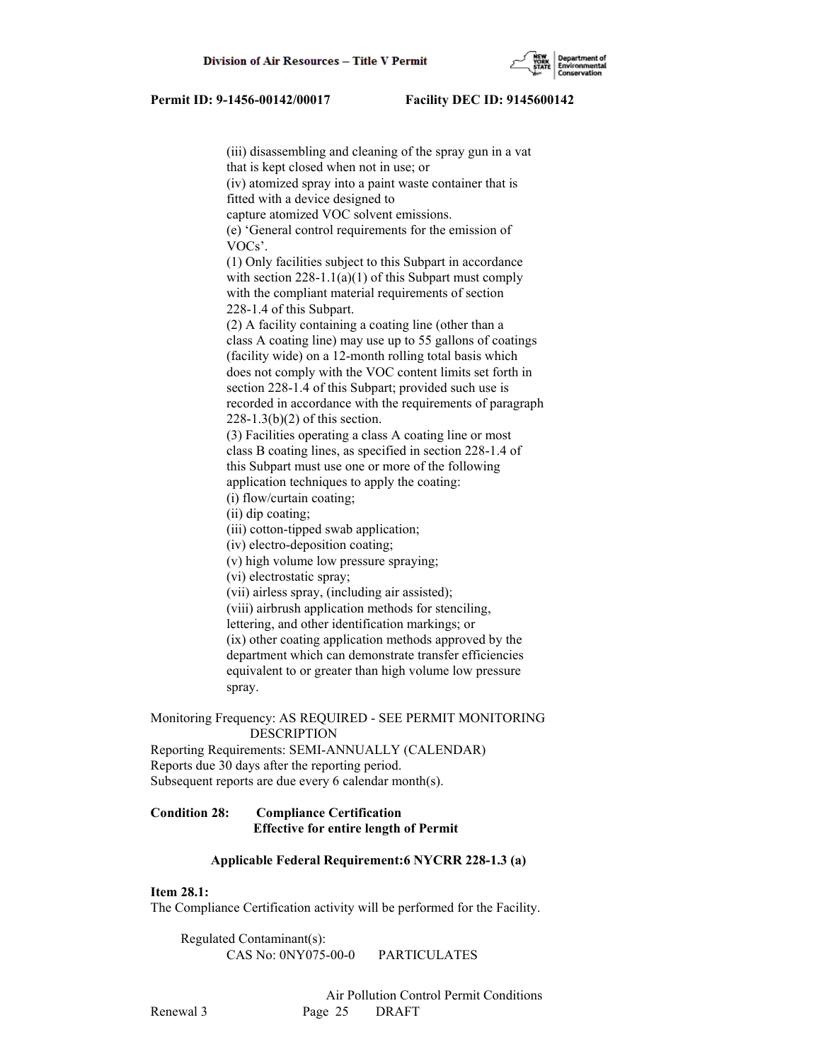

 (iii) disassembling and cleaning of the spray gun in a vat that is kept closed when not in use; or (iv) atomized spray into a paint waste container that is fitted with a device designed to capture atomized VOC solvent emissions. (e) 'General control requirements for the emission of VOCs'. (1) Only facilities subject to this Subpart in accordance with section  $228-1.1(a)(1)$  of this Subpart must comply with the compliant material requirements of section 228-1.4 of this Subpart. (2) A facility containing a coating line (other than a class A coating line) may use up to 55 gallons of coatings (facility wide) on a 12-month rolling total basis which does not comply with the VOC content limits set forth in section 228-1.4 of this Subpart; provided such use is recorded in accordance with the requirements of paragraph 228-1.3(b)(2) of this section. (3) Facilities operating a class A coating line or most class B coating lines, as specified in section 228-1.4 of this Subpart must use one or more of the following application techniques to apply the coating: (i) flow/curtain coating; (ii) dip coating; (iii) cotton-tipped swab application; (iv) electro-deposition coating; (v) high volume low pressure spraying; (vi) electrostatic spray; (vii) airless spray, (including air assisted); (viii) airbrush application methods for stenciling, lettering, and other identification markings; or (ix) other coating application methods approved by the department which can demonstrate transfer efficiencies equivalent to or greater than high volume low pressure spray.

### Monitoring Frequency: AS REQUIRED - SEE PERMIT MONITORING DESCRIPTION

Reporting Requirements: SEMI-ANNUALLY (CALENDAR) Reports due 30 days after the reporting period. Subsequent reports are due every 6 calendar month(s).

# **Condition 28: Compliance Certification Effective for entire length of Permit**

### **Applicable Federal Requirement:6 NYCRR 228-1.3 (a)**

# **Item 28.1:**

The Compliance Certification activity will be performed for the Facility.

 Regulated Contaminant(s): CAS No: 0NY075-00-0 PARTICULATES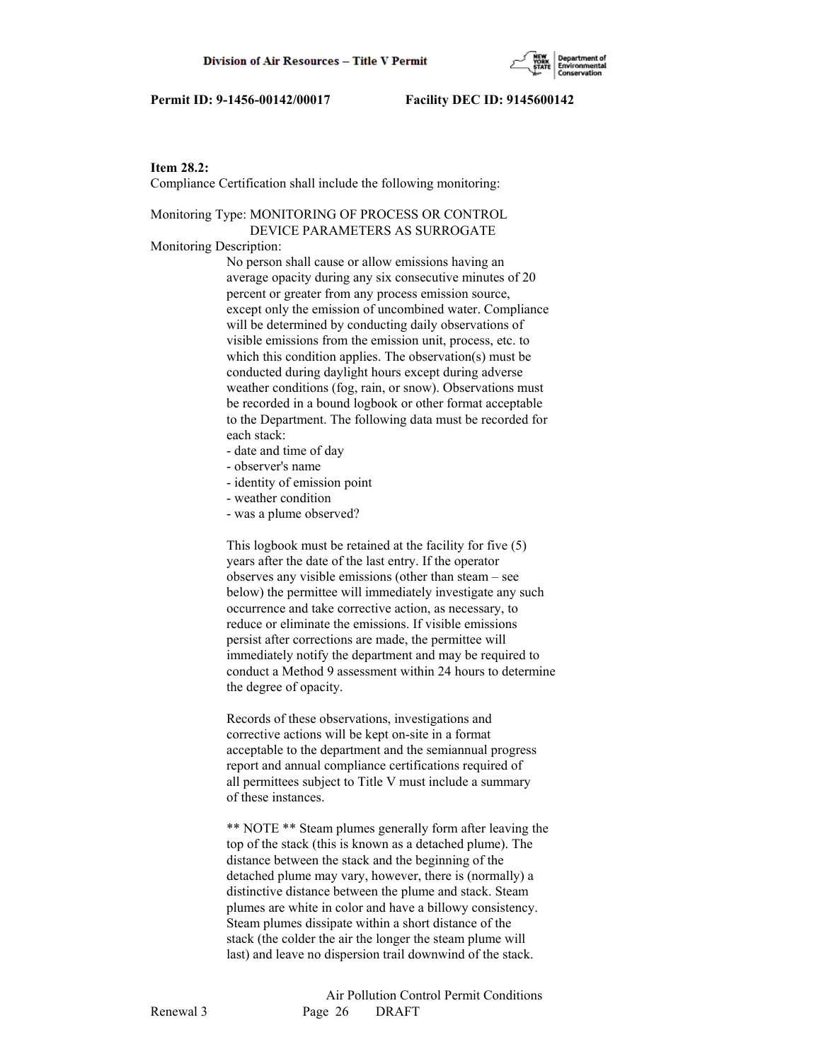

# **Item 28.2:**

Compliance Certification shall include the following monitoring:

# Monitoring Type: MONITORING OF PROCESS OR CONTROL DEVICE PARAMETERS AS SURROGATE

Monitoring Description:

 No person shall cause or allow emissions having an average opacity during any six consecutive minutes of 20 percent or greater from any process emission source, except only the emission of uncombined water. Compliance will be determined by conducting daily observations of visible emissions from the emission unit, process, etc. to which this condition applies. The observation(s) must be conducted during daylight hours except during adverse weather conditions (fog, rain, or snow). Observations must be recorded in a bound logbook or other format acceptable to the Department. The following data must be recorded for each stack:

- date and time of day
- observer's name
- identity of emission point
- weather condition
- was a plume observed?

 This logbook must be retained at the facility for five (5) years after the date of the last entry. If the operator observes any visible emissions (other than steam – see below) the permittee will immediately investigate any such occurrence and take corrective action, as necessary, to reduce or eliminate the emissions. If visible emissions persist after corrections are made, the permittee will immediately notify the department and may be required to conduct a Method 9 assessment within 24 hours to determine the degree of opacity.

 Records of these observations, investigations and corrective actions will be kept on-site in a format acceptable to the department and the semiannual progress report and annual compliance certifications required of all permittees subject to Title V must include a summary of these instances.

 \*\* NOTE \*\* Steam plumes generally form after leaving the top of the stack (this is known as a detached plume). The distance between the stack and the beginning of the detached plume may vary, however, there is (normally) a distinctive distance between the plume and stack. Steam plumes are white in color and have a billowy consistency. Steam plumes dissipate within a short distance of the stack (the colder the air the longer the steam plume will last) and leave no dispersion trail downwind of the stack.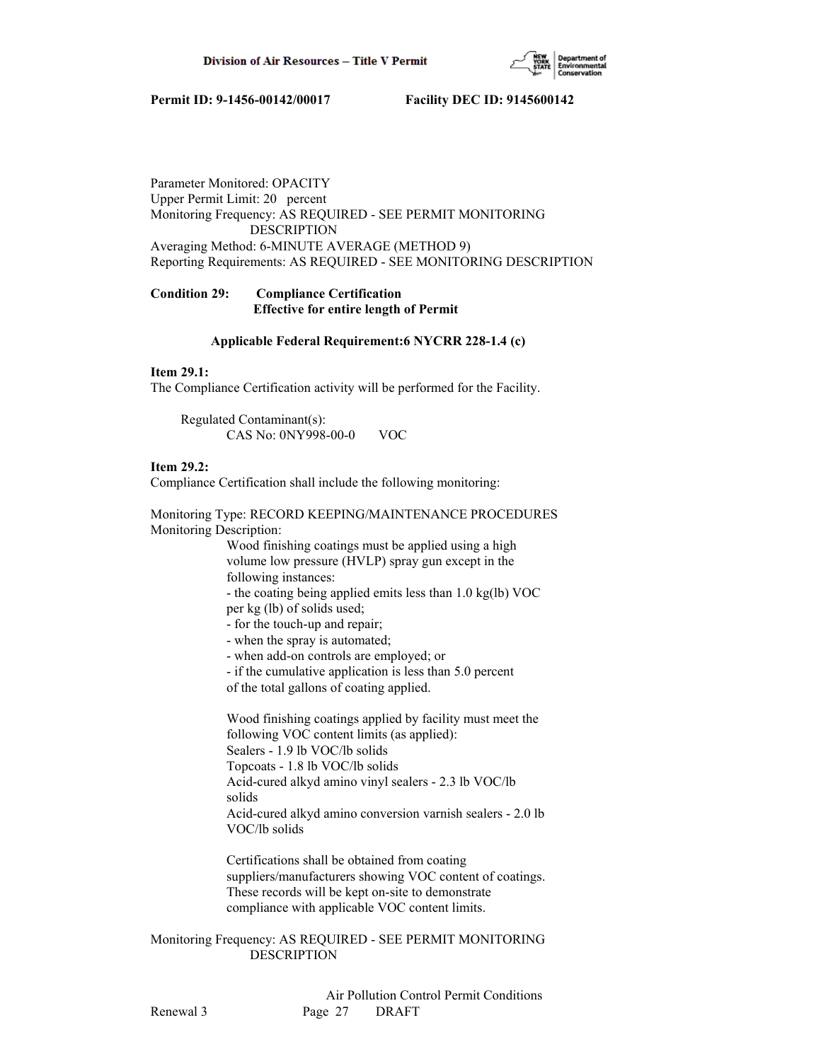

Parameter Monitored: OPACITY Upper Permit Limit: 20 percent Monitoring Frequency: AS REQUIRED - SEE PERMIT MONITORING DESCRIPTION Averaging Method: 6-MINUTE AVERAGE (METHOD 9) Reporting Requirements: AS REQUIRED - SEE MONITORING DESCRIPTION

# **Condition 29: Compliance Certification Effective for entire length of Permit**

# **Applicable Federal Requirement:6 NYCRR 228-1.4 (c)**

# **Item 29.1:**

The Compliance Certification activity will be performed for the Facility.

 Regulated Contaminant(s): CAS No: 0NY998-00-0 VOC

# **Item 29.2:**

Compliance Certification shall include the following monitoring:

Monitoring Type: RECORD KEEPING/MAINTENANCE PROCEDURES Monitoring Description:

> Wood finishing coatings must be applied using a high volume low pressure (HVLP) spray gun except in the following instances:

 - the coating being applied emits less than 1.0 kg(lb) VOC per kg (lb) of solids used;

- for the touch-up and repair;
- when the spray is automated;
- when add-on controls are employed; or
- if the cumulative application is less than 5.0 percent

of the total gallons of coating applied.

 Wood finishing coatings applied by facility must meet the following VOC content limits (as applied): Sealers - 1.9 lb VOC/lb solids Topcoats - 1.8 lb VOC/lb solids Acid-cured alkyd amino vinyl sealers - 2.3 lb VOC/lb solids Acid-cured alkyd amino conversion varnish sealers - 2.0 lb VOC/lb solids

 Certifications shall be obtained from coating suppliers/manufacturers showing VOC content of coatings. These records will be kept on-site to demonstrate compliance with applicable VOC content limits.

Monitoring Frequency: AS REQUIRED - SEE PERMIT MONITORING DESCRIPTION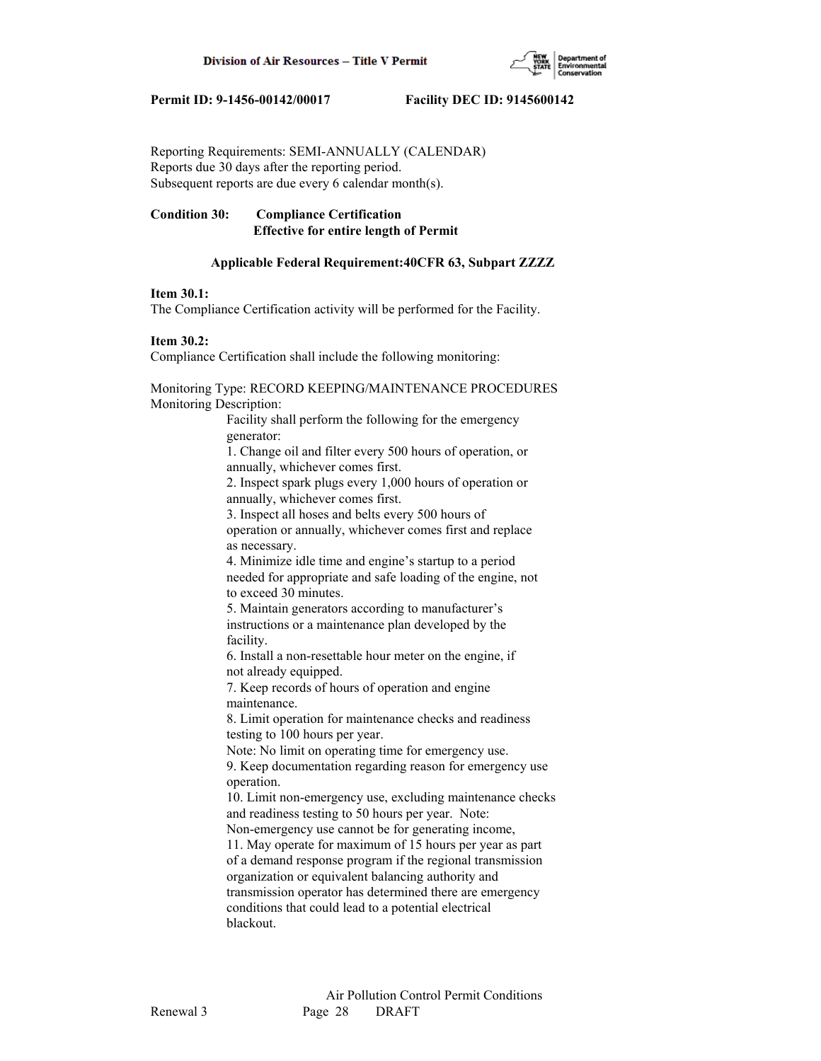

Reporting Requirements: SEMI-ANNUALLY (CALENDAR) Reports due 30 days after the reporting period. Subsequent reports are due every 6 calendar month(s).

# **Condition 30: Compliance Certification Effective for entire length of Permit**

# **Applicable Federal Requirement:40CFR 63, Subpart ZZZZ**

# **Item 30.1:**

The Compliance Certification activity will be performed for the Facility.

### **Item 30.2:**

Compliance Certification shall include the following monitoring:

Monitoring Type: RECORD KEEPING/MAINTENANCE PROCEDURES Monitoring Description:

> Facility shall perform the following for the emergency generator:

 1. Change oil and filter every 500 hours of operation, or annually, whichever comes first.

 2. Inspect spark plugs every 1,000 hours of operation or annually, whichever comes first.

 3. Inspect all hoses and belts every 500 hours of operation or annually, whichever comes first and replace as necessary.

 4. Minimize idle time and engine's startup to a period needed for appropriate and safe loading of the engine, not to exceed 30 minutes.

 5. Maintain generators according to manufacturer's instructions or a maintenance plan developed by the facility.

 6. Install a non-resettable hour meter on the engine, if not already equipped.

 7. Keep records of hours of operation and engine maintenance.

 8. Limit operation for maintenance checks and readiness testing to 100 hours per year.

Note: No limit on operating time for emergency use.

 9. Keep documentation regarding reason for emergency use operation.

 10. Limit non-emergency use, excluding maintenance checks and readiness testing to 50 hours per year. Note:

Non-emergency use cannot be for generating income,

 11. May operate for maximum of 15 hours per year as part of a demand response program if the regional transmission organization or equivalent balancing authority and transmission operator has determined there are emergency conditions that could lead to a potential electrical blackout.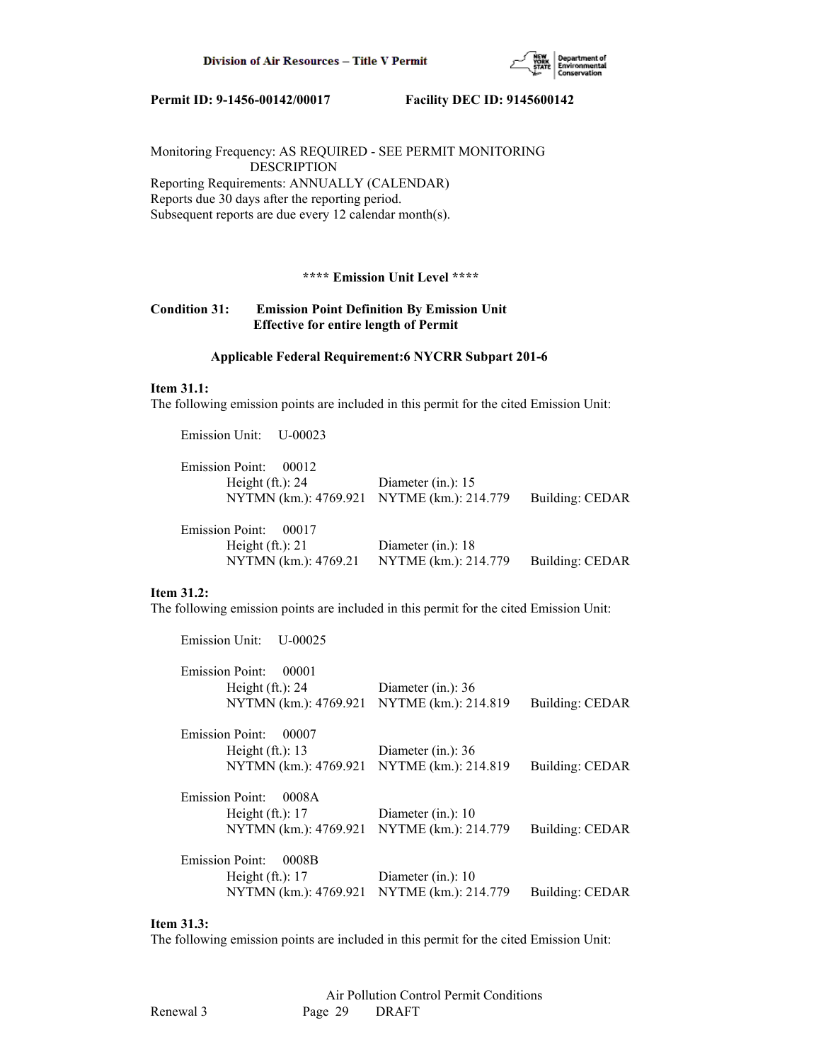

Monitoring Frequency: AS REQUIRED - SEE PERMIT MONITORING DESCRIPTION Reporting Requirements: ANNUALLY (CALENDAR) Reports due 30 days after the reporting period. Subsequent reports are due every 12 calendar month(s).

# **\*\*\*\* Emission Unit Level \*\*\*\***

# **Condition 31: Emission Point Definition By Emission Unit Effective for entire length of Permit**

#### **Applicable Federal Requirement:6 NYCRR Subpart 201-6**

#### **Item 31.1:**

The following emission points are included in this permit for the cited Emission Unit:

Emission Unit: U-00023

| Emission Point: 00012<br>Height $(ft.)$ : 24<br>NYTMN (km.): 4769.921 NYTME (km.): 214.779 | Diameter (in.): $15$ | Building: CEDAR |
|--------------------------------------------------------------------------------------------|----------------------|-----------------|
| Emission Point: 00017                                                                      |                      |                 |
| Height $(ft.)$ : 21                                                                        | Diameter (in.): $18$ |                 |
| NYTMN (km.): 4769.21                                                                       | NYTME (km.): 214.779 | Building: CEDAR |

#### **Item 31.2:**

The following emission points are included in this permit for the cited Emission Unit:

| Emission Unit:<br>$U - 00025$              |                      |                 |
|--------------------------------------------|----------------------|-----------------|
| <b>Emission Point:</b><br>00001            |                      |                 |
| Height $(ft.)$ : 24                        | Diameter (in.): $36$ |                 |
| NYTMN (km.): 4769.921 NYTME (km.): 214.819 |                      | Building: CEDAR |
| <b>Emission Point:</b><br>00007            |                      |                 |
| Height $(ft.)$ : 13                        | Diameter (in.): 36   |                 |
| NYTMN (km.): 4769.921 NYTME (km.): 214.819 |                      | Building: CEDAR |
| <b>Emission Point:</b><br>0008A            |                      |                 |
| Height $(ft.)$ : 17                        | Diameter (in.): $10$ |                 |
| NYTMN (km.): 4769.921 NYTME (km.): 214.779 |                      | Building: CEDAR |
| <b>Emission Point:</b><br>0008B            |                      |                 |
| Height $(ft.)$ : 17                        | Diameter (in.): 10   |                 |
| NYTMN (km.): 4769.921 NYTME (km.): 214.779 |                      | Building: CEDAR |
|                                            |                      |                 |

# **Item 31.3:**

The following emission points are included in this permit for the cited Emission Unit: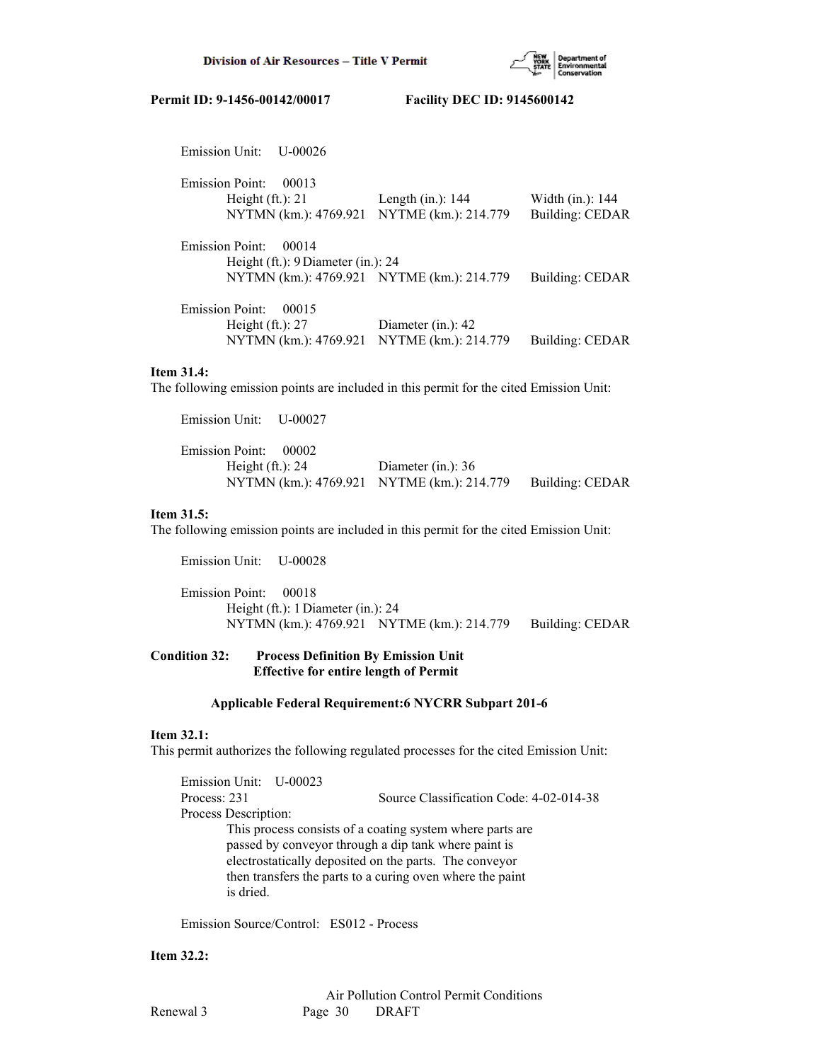

| Emission Unit:<br>U-00026                  |                       |                        |
|--------------------------------------------|-----------------------|------------------------|
| <b>Emission Point:</b><br>00013            |                       |                        |
| Height $(ft.)$ : 21                        | Length $(in.)$ : 144  | Width $(in.): 144$     |
| NYTMN (km.): 4769.921 NYTME (km.): 214.779 |                       | <b>Building: CEDAR</b> |
| <b>Emission Point:</b><br>00014            |                       |                        |
| Height (ft.): 9 Diameter (in.): 24         |                       |                        |
| NYTMN (km.): 4769.921 NYTME (km.): 214.779 |                       | Building: CEDAR        |
| <b>Emission Point:</b><br>00015            |                       |                        |
| Height $(ft.)$ : 27                        | Diameter $(in.)$ : 42 |                        |
| NYTMN (km.): 4769.921 NYTME (km.): 214.779 |                       | Building: CEDAR        |

### **Item 31.4:**

The following emission points are included in this permit for the cited Emission Unit:

 Emission Unit: U-00027 Emission Point: 00002 Height (ft.): 24 Diameter (in.): 36 NYTMN (km.): 4769.921 NYTME (km.): 214.779 Building: CEDAR

# **Item 31.5:**

The following emission points are included in this permit for the cited Emission Unit:

Emission Unit: U-00028

 Emission Point: 00018 Height (ft.): 1 Diameter (in.): 24 NYTMN (km.): 4769.921 NYTME (km.): 214.779 Building: CEDAR

# **Condition 32: Process Definition By Emission Unit Effective for entire length of Permit**

#### **Applicable Federal Requirement:6 NYCRR Subpart 201-6**

#### **Item 32.1:**

This permit authorizes the following regulated processes for the cited Emission Unit:

 Emission Unit: U-00023 Process: 231 Source Classification Code: 4-02-014-38 Process Description: This process consists of a coating system where parts are passed by conveyor through a dip tank where paint is electrostatically deposited on the parts. The conveyor then transfers the parts to a curing oven where the paint is dried.

Emission Source/Control: ES012 - Process

**Item 32.2:**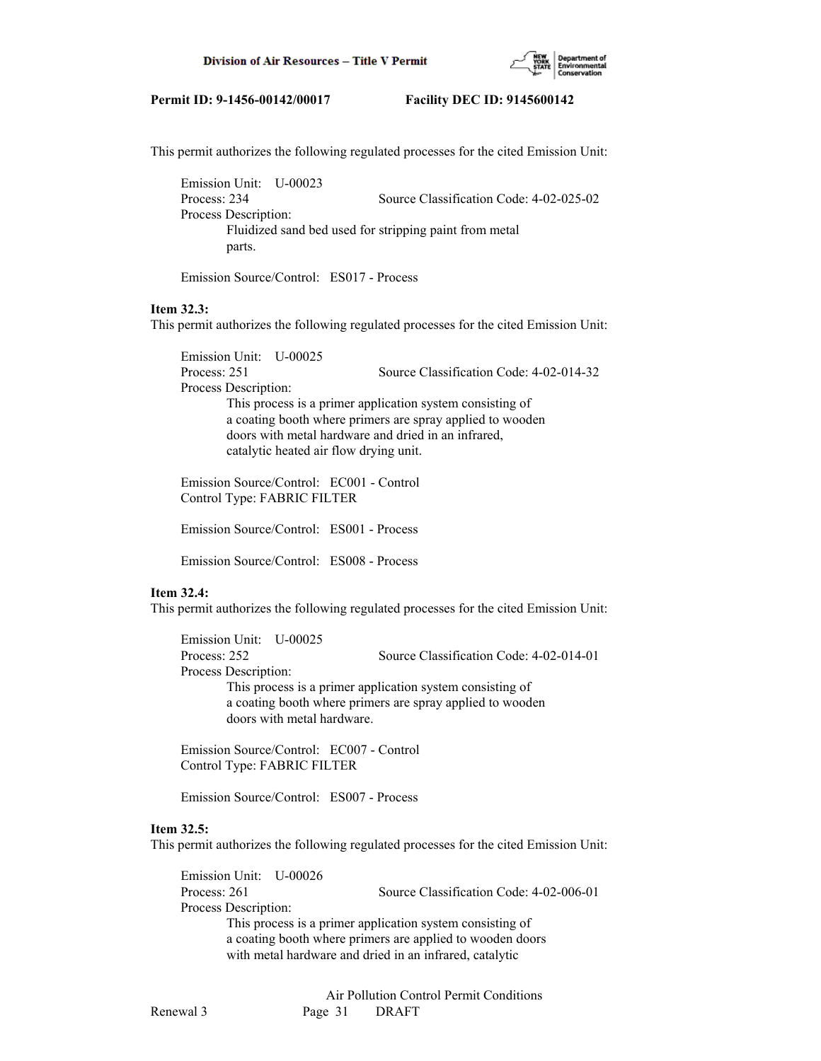

This permit authorizes the following regulated processes for the cited Emission Unit:

 Emission Unit: U-00023 Process: 234 Source Classification Code: 4-02-025-02 Process Description: Fluidized sand bed used for stripping paint from metal parts.

Emission Source/Control: ES017 - Process

# **Item 32.3:**

This permit authorizes the following regulated processes for the cited Emission Unit:

 Emission Unit: U-00025 Process: 251 Source Classification Code: 4-02-014-32 Process Description: This process is a primer application system consisting of a coating booth where primers are spray applied to wooden doors with metal hardware and dried in an infrared, catalytic heated air flow drying unit.

 Emission Source/Control: EC001 - Control Control Type: FABRIC FILTER

Emission Source/Control: ES001 - Process

Emission Source/Control: ES008 - Process

### **Item 32.4:**

This permit authorizes the following regulated processes for the cited Emission Unit:

 Emission Unit: U-00025 Process: 252 Source Classification Code: 4-02-014-01 Process Description: This process is a primer application system consisting of a coating booth where primers are spray applied to wooden doors with metal hardware.

 Emission Source/Control: EC007 - Control Control Type: FABRIC FILTER

Emission Source/Control: ES007 - Process

#### **Item 32.5:**

This permit authorizes the following regulated processes for the cited Emission Unit:

 Emission Unit: U-00026 Process: 261 Source Classification Code: 4-02-006-01 Process Description: This process is a primer application system consisting of a coating booth where primers are applied to wooden doors with metal hardware and dried in an infrared, catalytic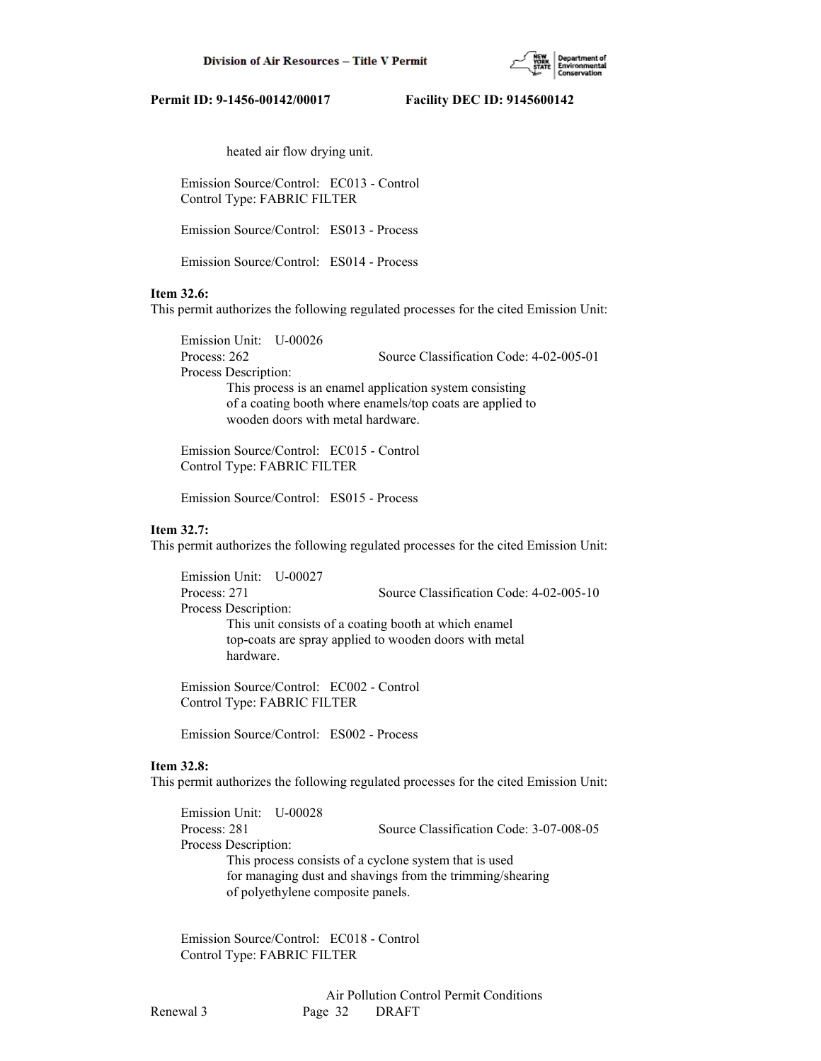

heated air flow drying unit.

 Emission Source/Control: EC013 - Control Control Type: FABRIC FILTER

Emission Source/Control: ES013 - Process

Emission Source/Control: ES014 - Process

# **Item 32.6:**

This permit authorizes the following regulated processes for the cited Emission Unit:

 Emission Unit: U-00026 Process: 262 Source Classification Code: 4-02-005-01 Process Description: This process is an enamel application system consisting of a coating booth where enamels/top coats are applied to wooden doors with metal hardware.

 Emission Source/Control: EC015 - Control Control Type: FABRIC FILTER

Emission Source/Control: ES015 - Process

#### **Item 32.7:**

This permit authorizes the following regulated processes for the cited Emission Unit:

 Emission Unit: U-00027 Process: 271 Source Classification Code: 4-02-005-10 Process Description: This unit consists of a coating booth at which enamel top-coats are spray applied to wooden doors with metal hardware.

 Emission Source/Control: EC002 - Control Control Type: FABRIC FILTER

Emission Source/Control: ES002 - Process

### **Item 32.8:**

This permit authorizes the following regulated processes for the cited Emission Unit:

 Emission Unit: U-00028 Process: 281 Source Classification Code: 3-07-008-05 Process Description: This process consists of a cyclone system that is used for managing dust and shavings from the trimming/shearing of polyethylene composite panels.

 Emission Source/Control: EC018 - Control Control Type: FABRIC FILTER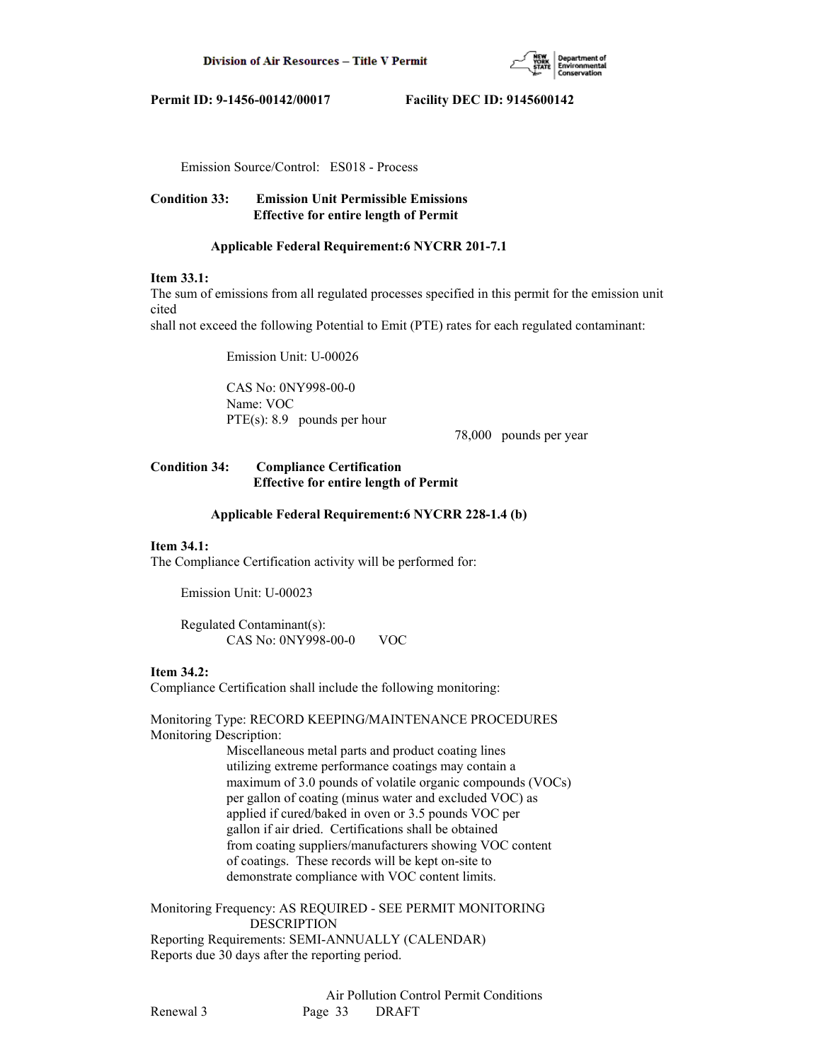

Emission Source/Control: ES018 - Process

# **Condition 33: Emission Unit Permissible Emissions Effective for entire length of Permit**

# **Applicable Federal Requirement:6 NYCRR 201-7.1**

# **Item 33.1:**

The sum of emissions from all regulated processes specified in this permit for the emission unit cited

shall not exceed the following Potential to Emit (PTE) rates for each regulated contaminant:

Emission Unit: U-00026

 CAS No: 0NY998-00-0 Name: VOC PTE(s): 8.9 pounds per hour

78,000 pounds per year

# **Condition 34: Compliance Certification Effective for entire length of Permit**

### **Applicable Federal Requirement:6 NYCRR 228-1.4 (b)**

### **Item 34.1:**

The Compliance Certification activity will be performed for:

Emission Unit: U-00023

 Regulated Contaminant(s): CAS No: 0NY998-00-0 VOC

### **Item 34.2:**

Compliance Certification shall include the following monitoring:

Monitoring Type: RECORD KEEPING/MAINTENANCE PROCEDURES Monitoring Description:

> Miscellaneous metal parts and product coating lines utilizing extreme performance coatings may contain a maximum of 3.0 pounds of volatile organic compounds (VOCs) per gallon of coating (minus water and excluded VOC) as applied if cured/baked in oven or 3.5 pounds VOC per gallon if air dried. Certifications shall be obtained from coating suppliers/manufacturers showing VOC content of coatings. These records will be kept on-site to demonstrate compliance with VOC content limits.

Monitoring Frequency: AS REQUIRED - SEE PERMIT MONITORING DESCRIPTION

Reporting Requirements: SEMI-ANNUALLY (CALENDAR) Reports due 30 days after the reporting period.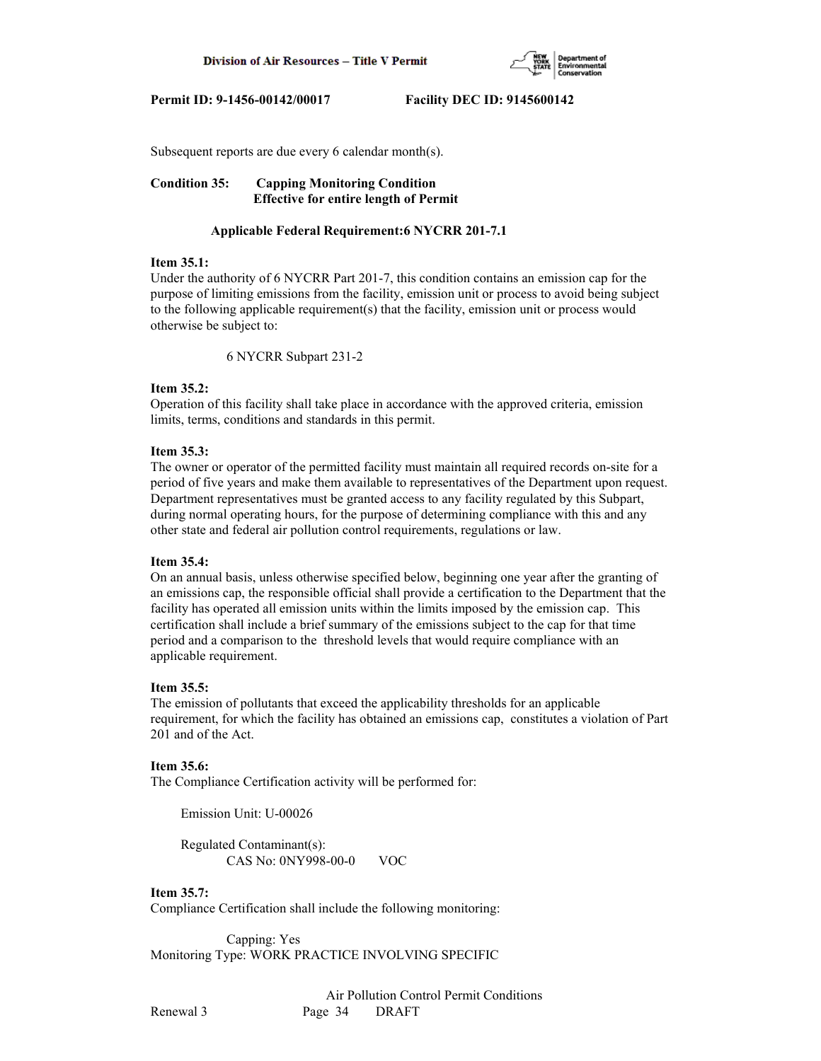

Subsequent reports are due every 6 calendar month(s).

**Condition 35: Capping Monitoring Condition Effective for entire length of Permit**

### **Applicable Federal Requirement:6 NYCRR 201-7.1**

## **Item 35.1:**

Under the authority of 6 NYCRR Part 201-7, this condition contains an emission cap for the purpose of limiting emissions from the facility, emission unit or process to avoid being subject to the following applicable requirement(s) that the facility, emission unit or process would otherwise be subject to:

6 NYCRR Subpart 231-2

### **Item 35.2:**

Operation of this facility shall take place in accordance with the approved criteria, emission limits, terms, conditions and standards in this permit.

### **Item 35.3:**

The owner or operator of the permitted facility must maintain all required records on-site for a period of five years and make them available to representatives of the Department upon request. Department representatives must be granted access to any facility regulated by this Subpart, during normal operating hours, for the purpose of determining compliance with this and any other state and federal air pollution control requirements, regulations or law.

### **Item 35.4:**

On an annual basis, unless otherwise specified below, beginning one year after the granting of an emissions cap, the responsible official shall provide a certification to the Department that the facility has operated all emission units within the limits imposed by the emission cap. This certification shall include a brief summary of the emissions subject to the cap for that time period and a comparison to the threshold levels that would require compliance with an applicable requirement.

### **Item 35.5:**

The emission of pollutants that exceed the applicability thresholds for an applicable requirement, for which the facility has obtained an emissions cap, constitutes a violation of Part 201 and of the Act.

### **Item 35.6:**

The Compliance Certification activity will be performed for:

Emission Unit: U-00026

 Regulated Contaminant(s): CAS No: 0NY998-00-0 VOC

# **Item 35.7:**

Compliance Certification shall include the following monitoring:

 Capping: Yes Monitoring Type: WORK PRACTICE INVOLVING SPECIFIC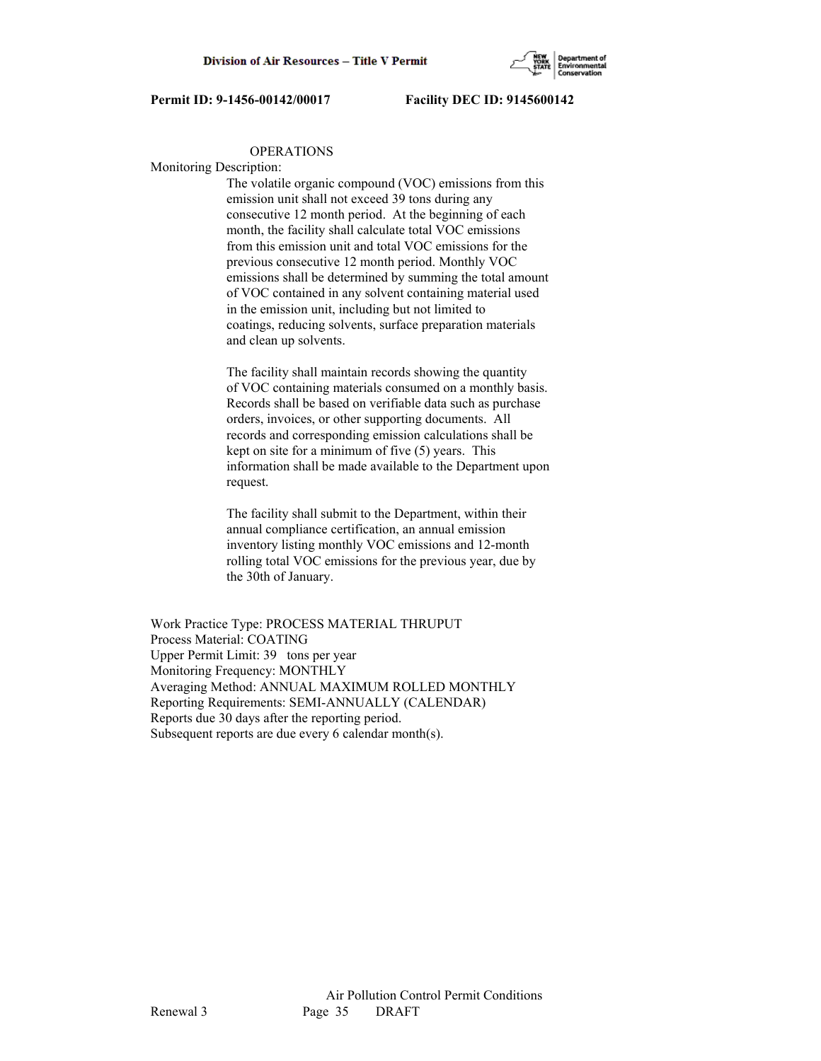

#### OPERATIONS

Monitoring Description:

 The volatile organic compound (VOC) emissions from this emission unit shall not exceed 39 tons during any consecutive 12 month period. At the beginning of each month, the facility shall calculate total VOC emissions from this emission unit and total VOC emissions for the previous consecutive 12 month period. Monthly VOC emissions shall be determined by summing the total amount of VOC contained in any solvent containing material used in the emission unit, including but not limited to coatings, reducing solvents, surface preparation materials and clean up solvents.

 The facility shall maintain records showing the quantity of VOC containing materials consumed on a monthly basis. Records shall be based on verifiable data such as purchase orders, invoices, or other supporting documents. All records and corresponding emission calculations shall be kept on site for a minimum of five (5) years. This information shall be made available to the Department upon request.

 The facility shall submit to the Department, within their annual compliance certification, an annual emission inventory listing monthly VOC emissions and 12-month rolling total VOC emissions for the previous year, due by the 30th of January.

Work Practice Type: PROCESS MATERIAL THRUPUT Process Material: COATING Upper Permit Limit: 39 tons per year Monitoring Frequency: MONTHLY Averaging Method: ANNUAL MAXIMUM ROLLED MONTHLY Reporting Requirements: SEMI-ANNUALLY (CALENDAR) Reports due 30 days after the reporting period. Subsequent reports are due every 6 calendar month(s).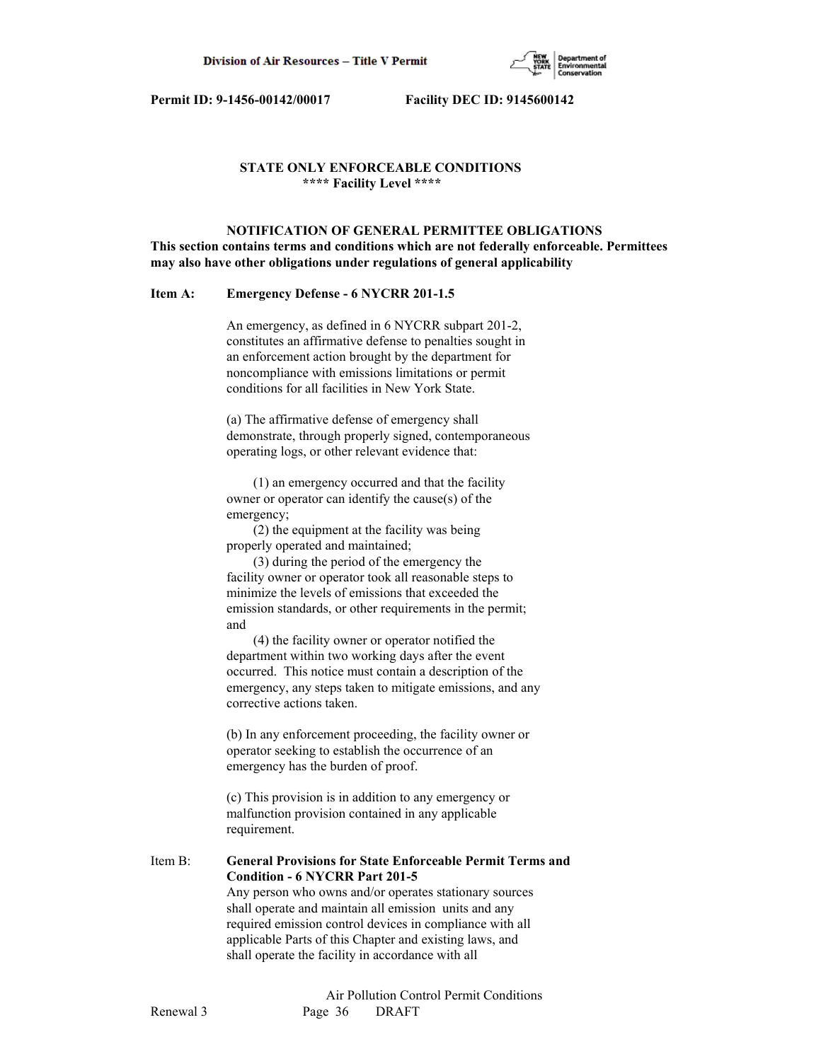

# **STATE ONLY ENFORCEABLE CONDITIONS \*\*\*\* Facility Level \*\*\*\***

 **NOTIFICATION OF GENERAL PERMITTEE OBLIGATIONS This section contains terms and conditions which are not federally enforceable. Permittees may also have other obligations under regulations of general applicability**

## **Item A: Emergency Defense - 6 NYCRR 201-1.5**

 An emergency, as defined in 6 NYCRR subpart 201-2, constitutes an affirmative defense to penalties sought in an enforcement action brought by the department for noncompliance with emissions limitations or permit conditions for all facilities in New York State.

 (a) The affirmative defense of emergency shall demonstrate, through properly signed, contemporaneous operating logs, or other relevant evidence that:

 (1) an emergency occurred and that the facility owner or operator can identify the cause(s) of the emergency;

 (2) the equipment at the facility was being properly operated and maintained;

 (3) during the period of the emergency the facility owner or operator took all reasonable steps to minimize the levels of emissions that exceeded the emission standards, or other requirements in the permit; and

 (4) the facility owner or operator notified the department within two working days after the event occurred. This notice must contain a description of the emergency, any steps taken to mitigate emissions, and any corrective actions taken.

 (b) In any enforcement proceeding, the facility owner or operator seeking to establish the occurrence of an emergency has the burden of proof.

 (c) This provision is in addition to any emergency or malfunction provision contained in any applicable requirement.

Item B: **General Provisions for State Enforceable Permit Terms and Condition - 6 NYCRR Part 201-5** Any person who owns and/or operates stationary sources shall operate and maintain all emission units and any required emission control devices in compliance with all

 applicable Parts of this Chapter and existing laws, and shall operate the facility in accordance with all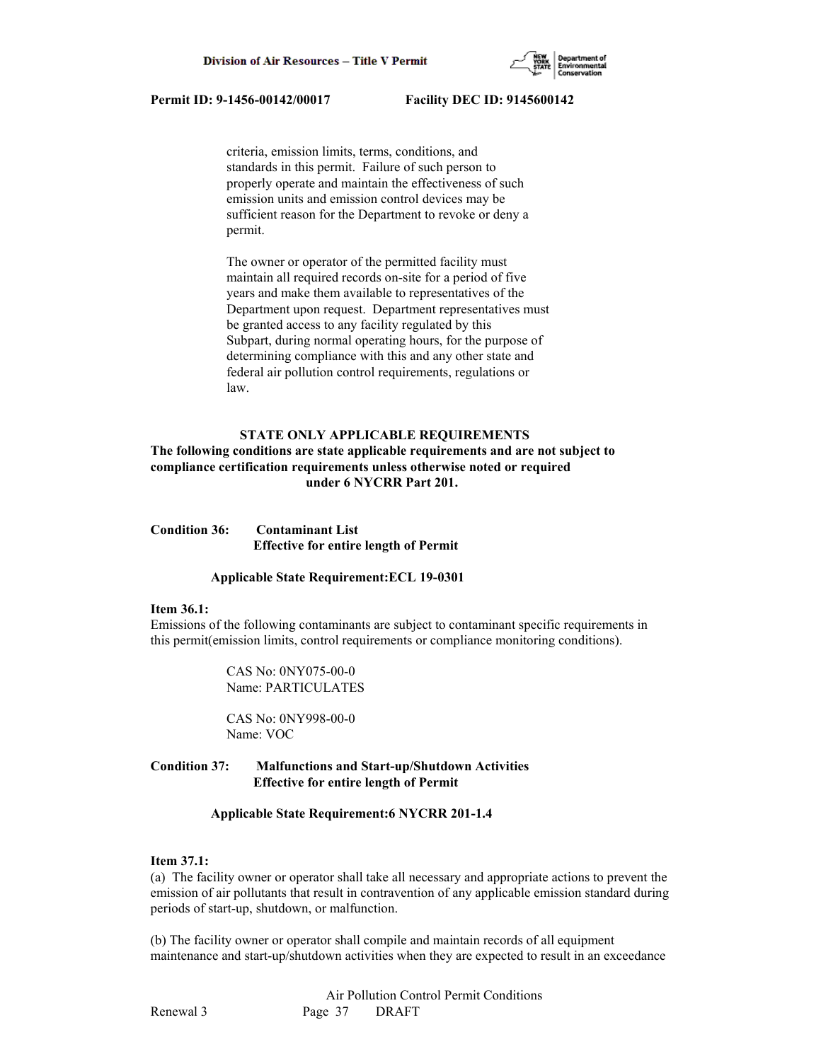

 criteria, emission limits, terms, conditions, and standards in this permit. Failure of such person to properly operate and maintain the effectiveness of such emission units and emission control devices may be sufficient reason for the Department to revoke or deny a permit.

 The owner or operator of the permitted facility must maintain all required records on-site for a period of five years and make them available to representatives of the Department upon request. Department representatives must be granted access to any facility regulated by this Subpart, during normal operating hours, for the purpose of determining compliance with this and any other state and federal air pollution control requirements, regulations or law.

# **STATE ONLY APPLICABLE REQUIREMENTS**

# **The following conditions are state applicable requirements and are not subject to compliance certification requirements unless otherwise noted or required under 6 NYCRR Part 201.**

**Condition 36: Contaminant List Effective for entire length of Permit**

#### **Applicable State Requirement:ECL 19-0301**

#### **Item 36.1:**

Emissions of the following contaminants are subject to contaminant specific requirements in this permit(emission limits, control requirements or compliance monitoring conditions).

> CAS No: 0NY075-00-0 Name: PARTICULATES

 CAS No: 0NY998-00-0 Name: VOC

# **Condition 37: Malfunctions and Start-up/Shutdown Activities Effective for entire length of Permit**

#### **Applicable State Requirement:6 NYCRR 201-1.4**

# **Item 37.1:**

(a) The facility owner or operator shall take all necessary and appropriate actions to prevent the emission of air pollutants that result in contravention of any applicable emission standard during periods of start-up, shutdown, or malfunction.

(b) The facility owner or operator shall compile and maintain records of all equipment maintenance and start-up/shutdown activities when they are expected to result in an exceedance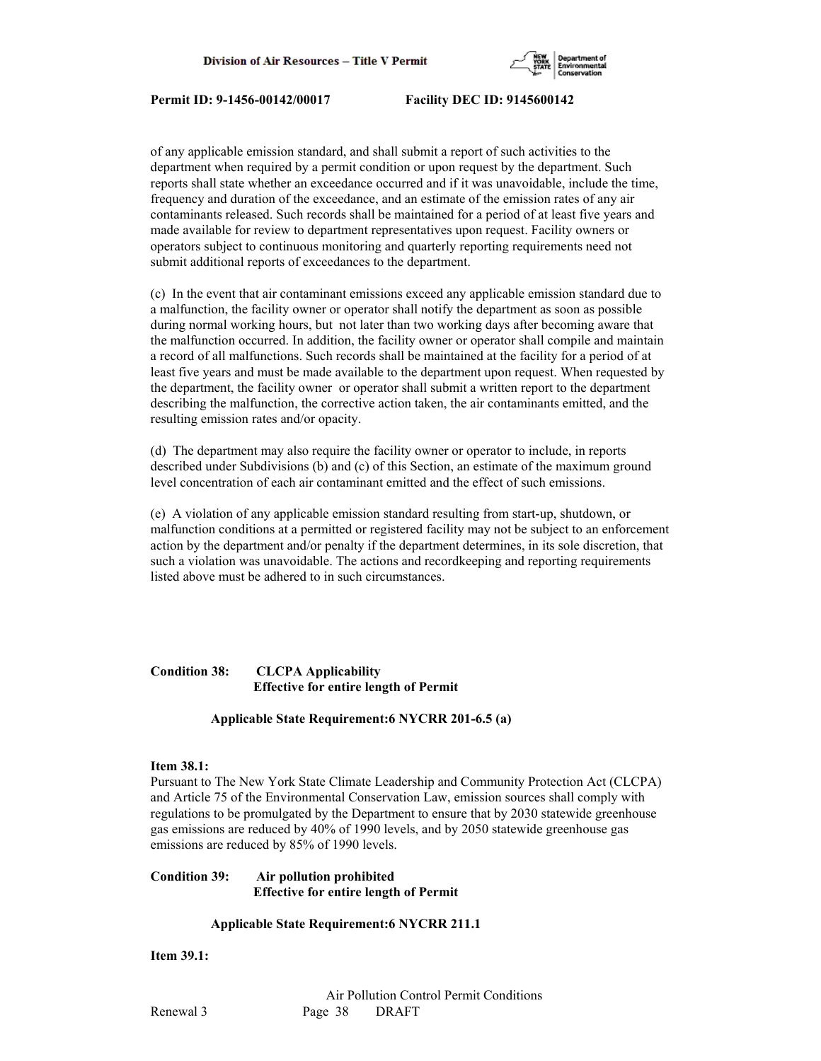

of any applicable emission standard, and shall submit a report of such activities to the department when required by a permit condition or upon request by the department. Such reports shall state whether an exceedance occurred and if it was unavoidable, include the time, frequency and duration of the exceedance, and an estimate of the emission rates of any air contaminants released. Such records shall be maintained for a period of at least five years and made available for review to department representatives upon request. Facility owners or operators subject to continuous monitoring and quarterly reporting requirements need not submit additional reports of exceedances to the department.

(c) In the event that air contaminant emissions exceed any applicable emission standard due to a malfunction, the facility owner or operator shall notify the department as soon as possible during normal working hours, but not later than two working days after becoming aware that the malfunction occurred. In addition, the facility owner or operator shall compile and maintain a record of all malfunctions. Such records shall be maintained at the facility for a period of at least five years and must be made available to the department upon request. When requested by the department, the facility owner or operator shall submit a written report to the department describing the malfunction, the corrective action taken, the air contaminants emitted, and the resulting emission rates and/or opacity.

(d) The department may also require the facility owner or operator to include, in reports described under Subdivisions (b) and (c) of this Section, an estimate of the maximum ground level concentration of each air contaminant emitted and the effect of such emissions.

(e) A violation of any applicable emission standard resulting from start-up, shutdown, or malfunction conditions at a permitted or registered facility may not be subject to an enforcement action by the department and/or penalty if the department determines, in its sole discretion, that such a violation was unavoidable. The actions and recordkeeping and reporting requirements listed above must be adhered to in such circumstances.

# **Condition 38: CLCPA Applicability Effective for entire length of Permit**

### **Applicable State Requirement:6 NYCRR 201-6.5 (a)**

# **Item 38.1:**

Pursuant to The New York State Climate Leadership and Community Protection Act (CLCPA) and Article 75 of the Environmental Conservation Law, emission sources shall comply with regulations to be promulgated by the Department to ensure that by 2030 statewide greenhouse gas emissions are reduced by 40% of 1990 levels, and by 2050 statewide greenhouse gas emissions are reduced by 85% of 1990 levels.

# **Condition 39: Air pollution prohibited Effective for entire length of Permit**

### **Applicable State Requirement:6 NYCRR 211.1**

**Item 39.1:**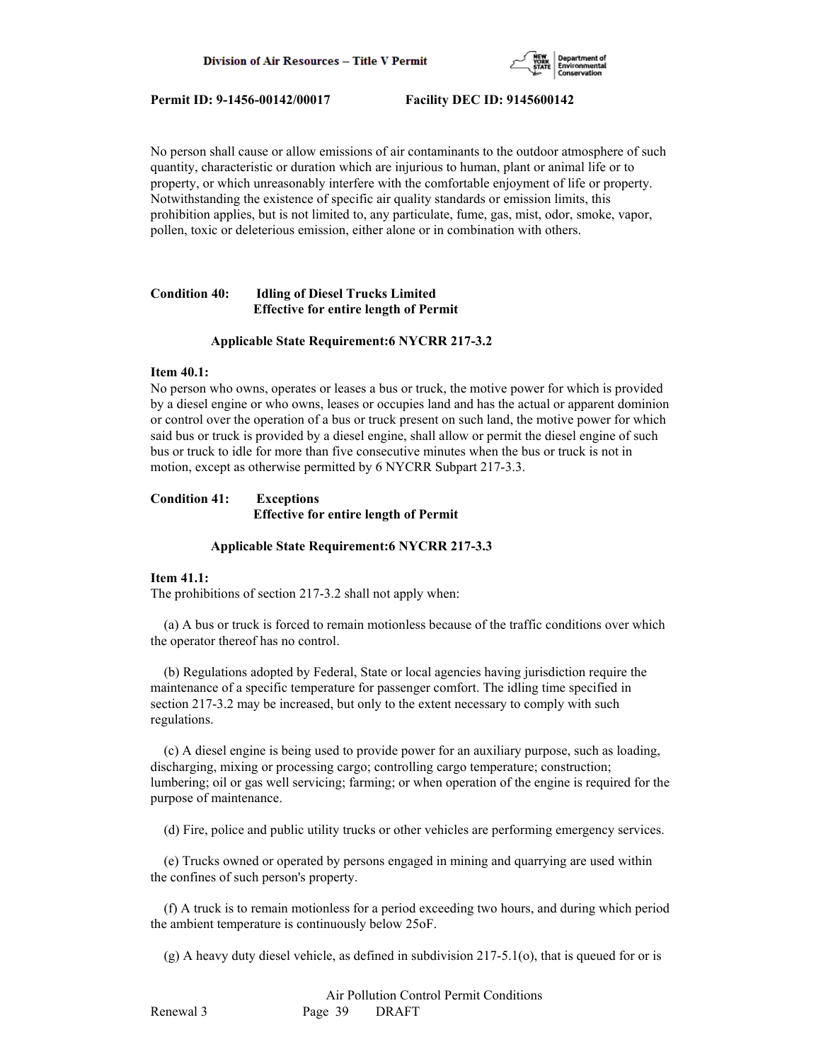

No person shall cause or allow emissions of air contaminants to the outdoor atmosphere of such quantity, characteristic or duration which are injurious to human, plant or animal life or to property, or which unreasonably interfere with the comfortable enjoyment of life or property. Notwithstanding the existence of specific air quality standards or emission limits, this prohibition applies, but is not limited to, any particulate, fume, gas, mist, odor, smoke, vapor, pollen, toxic or deleterious emission, either alone or in combination with others.

# **Condition 40: Idling of Diesel Trucks Limited Effective for entire length of Permit**

#### **Applicable State Requirement:6 NYCRR 217-3.2**

#### **Item 40.1:**

No person who owns, operates or leases a bus or truck, the motive power for which is provided by a diesel engine or who owns, leases or occupies land and has the actual or apparent dominion or control over the operation of a bus or truck present on such land, the motive power for which said bus or truck is provided by a diesel engine, shall allow or permit the diesel engine of such bus or truck to idle for more than five consecutive minutes when the bus or truck is not in motion, except as otherwise permitted by 6 NYCRR Subpart 217-3.3.

# **Condition 41: Exceptions Effective for entire length of Permit**

#### **Applicable State Requirement:6 NYCRR 217-3.3**

#### **Item 41.1:**

The prohibitions of section 217-3.2 shall not apply when:

 (a) A bus or truck is forced to remain motionless because of the traffic conditions over which the operator thereof has no control.

 (b) Regulations adopted by Federal, State or local agencies having jurisdiction require the maintenance of a specific temperature for passenger comfort. The idling time specified in section 217-3.2 may be increased, but only to the extent necessary to comply with such regulations.

 (c) A diesel engine is being used to provide power for an auxiliary purpose, such as loading, discharging, mixing or processing cargo; controlling cargo temperature; construction; lumbering; oil or gas well servicing; farming; or when operation of the engine is required for the purpose of maintenance.

(d) Fire, police and public utility trucks or other vehicles are performing emergency services.

 (e) Trucks owned or operated by persons engaged in mining and quarrying are used within the confines of such person's property.

 (f) A truck is to remain motionless for a period exceeding two hours, and during which period the ambient temperature is continuously below 25oF.

(g) A heavy duty diesel vehicle, as defined in subdivision 217-5.1(o), that is queued for or is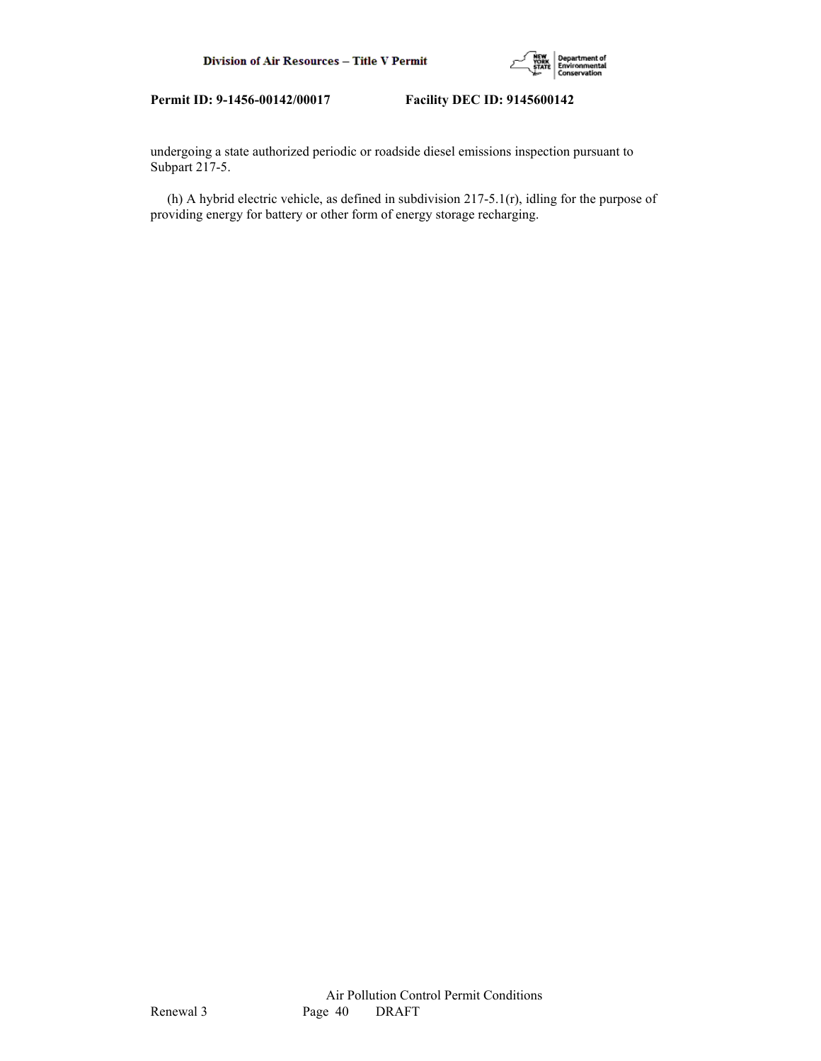

undergoing a state authorized periodic or roadside diesel emissions inspection pursuant to Subpart 217-5.

 (h) A hybrid electric vehicle, as defined in subdivision 217-5.1(r), idling for the purpose of providing energy for battery or other form of energy storage recharging.